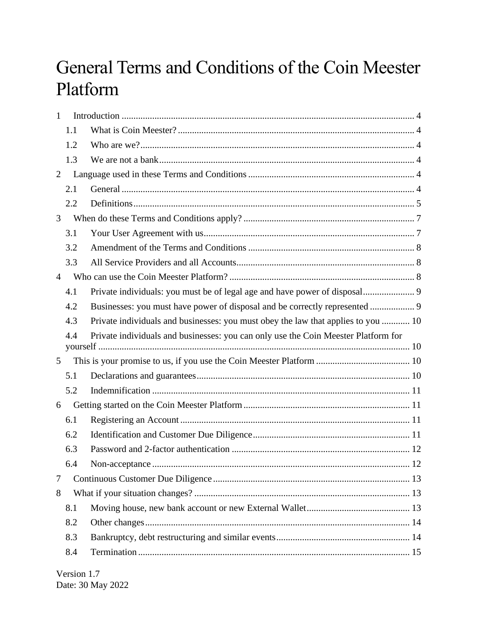# General Terms and Conditions of the Coin Meester Platform

| $\mathbf{1}$   |     |                                                                                    |
|----------------|-----|------------------------------------------------------------------------------------|
|                | 1.1 |                                                                                    |
|                | 1.2 |                                                                                    |
|                | 1.3 |                                                                                    |
| 2              |     |                                                                                    |
|                | 2.1 |                                                                                    |
|                | 2.2 |                                                                                    |
| 3              |     |                                                                                    |
|                | 3.1 |                                                                                    |
|                | 3.2 |                                                                                    |
|                | 3.3 |                                                                                    |
| $\overline{4}$ |     |                                                                                    |
|                | 4.1 |                                                                                    |
|                | 4.2 | Businesses: you must have power of disposal and be correctly represented  9        |
|                | 4.3 | Private individuals and businesses: you must obey the law that applies to you  10  |
|                | 4.4 | Private individuals and businesses: you can only use the Coin Meester Platform for |
| 5              |     |                                                                                    |
|                | 5.1 |                                                                                    |
|                | 5.2 |                                                                                    |
| 6              |     |                                                                                    |
|                | 6.1 |                                                                                    |
|                | 6.2 |                                                                                    |
|                | 6.3 |                                                                                    |
|                | 6.4 |                                                                                    |
| 7              |     |                                                                                    |
| 8              |     |                                                                                    |
|                | 8.1 |                                                                                    |
|                | 8.2 |                                                                                    |
|                | 8.3 |                                                                                    |
|                |     |                                                                                    |
|                | 8.4 |                                                                                    |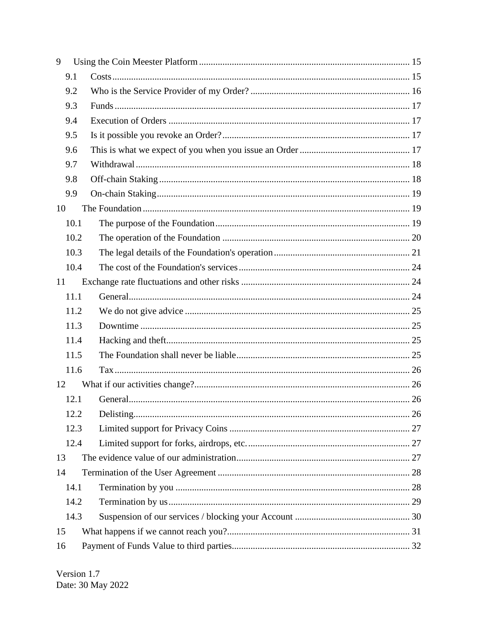| 9    |  |
|------|--|
| 9.1  |  |
| 9.2  |  |
| 9.3  |  |
| 9.4  |  |
| 9.5  |  |
| 9.6  |  |
| 9.7  |  |
| 9.8  |  |
| 9.9  |  |
| 10   |  |
| 10.1 |  |
| 10.2 |  |
| 10.3 |  |
| 10.4 |  |
| 11   |  |
| 11.1 |  |
| 11.2 |  |
| 11.3 |  |
| 11.4 |  |
| 11.5 |  |
| 11.6 |  |
| 12   |  |
| 12.1 |  |
| 12.2 |  |
| 12.3 |  |
| 12.4 |  |
| 13   |  |
| 14   |  |
| 14.1 |  |
| 14.2 |  |
| 14.3 |  |
| 15   |  |
| 16   |  |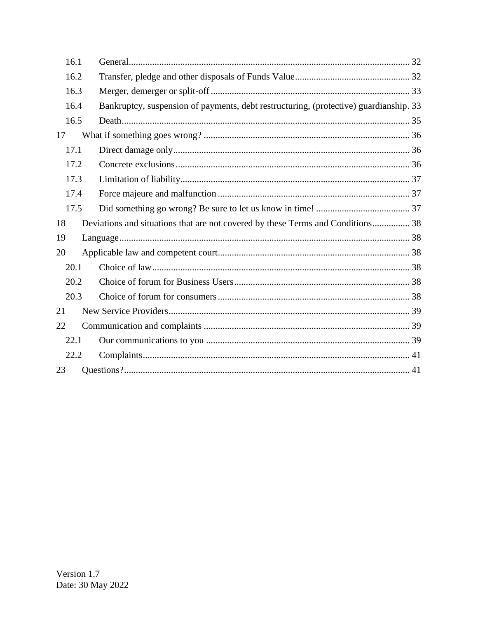| 16.1 |                                                                                       |
|------|---------------------------------------------------------------------------------------|
| 16.2 |                                                                                       |
| 16.3 |                                                                                       |
| 16.4 | Bankruptcy, suspension of payments, debt restructuring, (protective) guardianship. 33 |
| 16.5 |                                                                                       |
| 17   |                                                                                       |
| 17.1 |                                                                                       |
| 17.2 |                                                                                       |
| 17.3 |                                                                                       |
| 17.4 |                                                                                       |
| 17.5 |                                                                                       |
| 18   | Deviations and situations that are not covered by these Terms and Conditions 38       |
| 19   |                                                                                       |
| 20   |                                                                                       |
| 20.1 |                                                                                       |
| 20.2 |                                                                                       |
| 20.3 |                                                                                       |
| 21   |                                                                                       |
| 22   |                                                                                       |
| 22.1 |                                                                                       |
| 22.2 |                                                                                       |
| 23   |                                                                                       |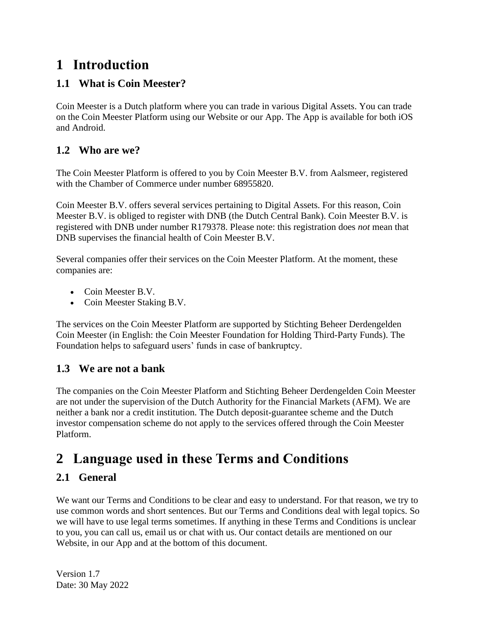### <span id="page-3-0"></span>**1 Introduction**

#### <span id="page-3-1"></span>**1.1 What is Coin Meester?**

Coin Meester is a Dutch platform where you can trade in various Digital Assets. You can trade on the Coin Meester Platform using our Website or our App. The App is available for both iOS and Android.

#### <span id="page-3-2"></span>**1.2 Who are we?**

The Coin Meester Platform is offered to you by Coin Meester B.V. from Aalsmeer, registered with the Chamber of Commerce under number 68955820.

Coin Meester B.V. offers several services pertaining to Digital Assets. For this reason, Coin Meester B.V. is obliged to register with DNB (the Dutch Central Bank). Coin Meester B.V. is registered with DNB under number R179378. Please note: this registration does *not* mean that DNB supervises the financial health of Coin Meester B.V.

Several companies offer their services on the Coin Meester Platform. At the moment, these companies are:

- Coin Meester B.V.
- Coin Meester Staking B.V.

The services on the Coin Meester Platform are supported by Stichting Beheer Derdengelden Coin Meester (in English: the Coin Meester Foundation for Holding Third-Party Funds). The Foundation helps to safeguard users' funds in case of bankruptcy.

#### <span id="page-3-3"></span>**1.3 We are not a bank**

The companies on the Coin Meester Platform and Stichting Beheer Derdengelden Coin Meester are not under the supervision of the Dutch Authority for the Financial Markets (AFM). We are neither a bank nor a credit institution. The Dutch deposit-guarantee scheme and the Dutch investor compensation scheme do not apply to the services offered through the Coin Meester Platform.

## <span id="page-3-4"></span>**2 Language used in these Terms and Conditions**

#### <span id="page-3-5"></span>**2.1 General**

We want our Terms and Conditions to be clear and easy to understand. For that reason, we try to use common words and short sentences. But our Terms and Conditions deal with legal topics. So we will have to use legal terms sometimes. If anything in these Terms and Conditions is unclear to you, you can call us, email us or chat with us. Our contact details are mentioned on our Website, in our App and at the bottom of this document.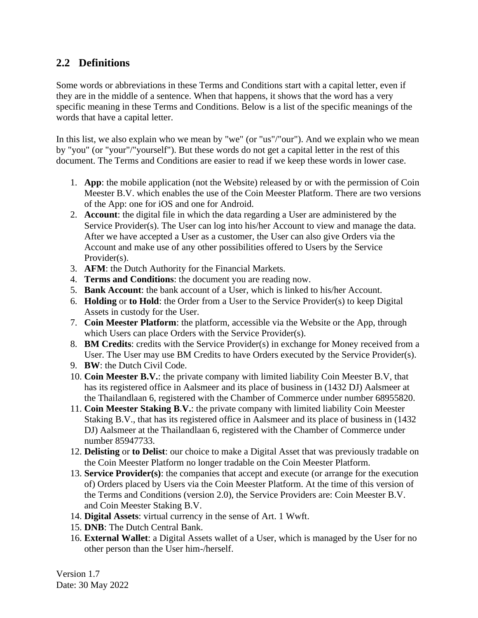#### <span id="page-4-0"></span>**2.2 Definitions**

Some words or abbreviations in these Terms and Conditions start with a capital letter, even if they are in the middle of a sentence. When that happens, it shows that the word has a very specific meaning in these Terms and Conditions. Below is a list of the specific meanings of the words that have a capital letter.

In this list, we also explain who we mean by "we" (or "us"/"our"). And we explain who we mean by "you" (or "your"/"yourself"). But these words do not get a capital letter in the rest of this document. The Terms and Conditions are easier to read if we keep these words in lower case.

- 1. **App**: the mobile application (not the Website) released by or with the permission of Coin Meester B.V. which enables the use of the Coin Meester Platform. There are two versions of the App: one for iOS and one for Android.
- 2. **Account**: the digital file in which the data regarding a User are administered by the Service Provider(s). The User can log into his/her Account to view and manage the data. After we have accepted a User as a customer, the User can also give Orders via the Account and make use of any other possibilities offered to Users by the Service Provider(s).
- 3. **AFM**: the Dutch Authority for the Financial Markets.
- 4. **Terms and Conditions**: the document you are reading now.
- 5. **Bank Account**: the bank account of a User, which is linked to his/her Account.
- 6. **Holding** or **to Hold**: the Order from a User to the Service Provider(s) to keep Digital Assets in custody for the User.
- 7. **Coin Meester Platform**: the platform, accessible via the Website or the App, through which Users can place Orders with the Service Provider(s).
- 8. **BM Credits**: credits with the Service Provider(s) in exchange for Money received from a User. The User may use BM Credits to have Orders executed by the Service Provider(s).
- 9. **BW**: the Dutch Civil Code.
- 10. **Coin Meester B.V.**: the private company with limited liability Coin Meester B.V, that has its registered office in Aalsmeer and its place of business in (1432 DJ) Aalsmeer at the Thailandlaan 6, registered with the Chamber of Commerce under number 68955820.
- 11. **Coin Meester Staking B**.**V.**: the private company with limited liability Coin Meester Staking B.V., that has its registered office in Aalsmeer and its place of business in (1432 DJ) Aalsmeer at the Thailandlaan 6, registered with the Chamber of Commerce under number 85947733.
- 12. **Delisting** or **to Delist**: our choice to make a Digital Asset that was previously tradable on the Coin Meester Platform no longer tradable on the Coin Meester Platform.
- 13. **Service Provider(s)**: the companies that accept and execute (or arrange for the execution of) Orders placed by Users via the Coin Meester Platform. At the time of this version of the Terms and Conditions (version 2.0), the Service Providers are: Coin Meester B.V. and Coin Meester Staking B.V.
- 14. **Digital Assets**: virtual currency in the sense of Art. 1 Wwft.
- 15. **DNB**: The Dutch Central Bank.
- 16. **External Wallet**: a Digital Assets wallet of a User, which is managed by the User for no other person than the User him-/herself.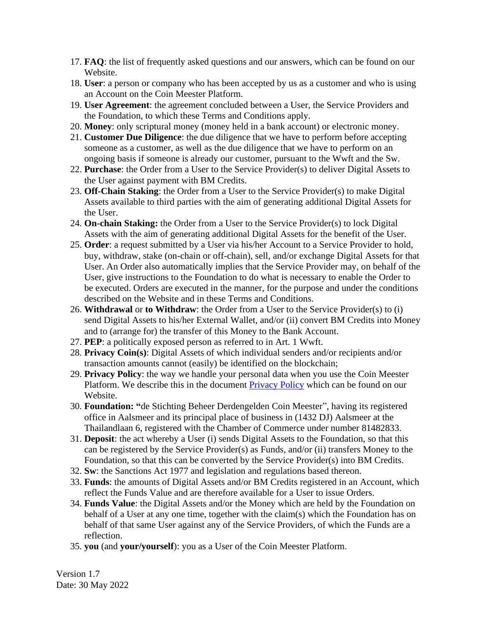- 17. **FAQ**: the list of frequently asked questions and our answers, which can be found on our Website.
- 18. **User**: a person or company who has been accepted by us as a customer and who is using an Account on the Coin Meester Platform.
- 19. **User Agreement**: the agreement concluded between a User, the Service Providers and the Foundation, to which these Terms and Conditions apply.
- 20. **Money**: only scriptural money (money held in a bank account) or electronic money.
- 21. **Customer Due Diligence**: the due diligence that we have to perform before accepting someone as a customer, as well as the due diligence that we have to perform on an ongoing basis if someone is already our customer, pursuant to the Wwft and the Sw.
- 22. **Purchase**: the Order from a User to the Service Provider(s) to deliver Digital Assets to the User against payment with BM Credits.
- 23. **Off-Chain Staking**: the Order from a User to the Service Provider(s) to make Digital Assets available to third parties with the aim of generating additional Digital Assets for the User.
- 24. **On-chain Staking:** the Order from a User to the Service Provider(s) to lock Digital Assets with the aim of generating additional Digital Assets for the benefit of the User.
- 25. **Order**: a request submitted by a User via his/her Account to a Service Provider to hold, buy, withdraw, stake (on-chain or off-chain), sell, and/or exchange Digital Assets for that User. An Order also automatically implies that the Service Provider may, on behalf of the User, give instructions to the Foundation to do what is necessary to enable the Order to be executed. Orders are executed in the manner, for the purpose and under the conditions described on the Website and in these Terms and Conditions.
- 26. **Withdrawal** or **to Withdraw**: the Order from a User to the Service Provider(s) to (i) send Digital Assets to his/her External Wallet, and/or (ii) convert BM Credits into Money and to (arrange for) the transfer of this Money to the Bank Account.
- 27. **PEP**: a politically exposed person as referred to in Art. 1 Wwft.
- 28. **Privacy Coin(s)**: Digital Assets of which individual senders and/or recipients and/or transaction amounts cannot (easily) be identified on the blockchain;
- 29. **Privacy Policy**: the way we handle your personal data when you use the Coin Meester Platform. We describe this in the document [Privacy Policy](https://www.bitladon.com/privacy-policy) which can be found on our Website.
- 30. **Foundation: "**de Stichting Beheer Derdengelden Coin Meester", having its registered office in Aalsmeer and its principal place of business in (1432 DJ) Aalsmeer at the Thailandlaan 6, registered with the Chamber of Commerce under number 81482833.
- 31. **Deposit**: the act whereby a User (i) sends Digital Assets to the Foundation, so that this can be registered by the Service Provider(s) as Funds, and/or (ii) transfers Money to the Foundation, so that this can be converted by the Service Provider(s) into BM Credits.
- 32. **Sw**: the Sanctions Act 1977 and legislation and regulations based thereon.
- 33. **Funds**: the amounts of Digital Assets and/or BM Credits registered in an Account, which reflect the Funds Value and are therefore available for a User to issue Orders.
- 34. **Funds Value**: the Digital Assets and/or the Money which are held by the Foundation on behalf of a User at any one time, together with the claim(s) which the Foundation has on behalf of that same User against any of the Service Providers, of which the Funds are a reflection.
- 35. **you** (and **your/yourself**): you as a User of the Coin Meester Platform.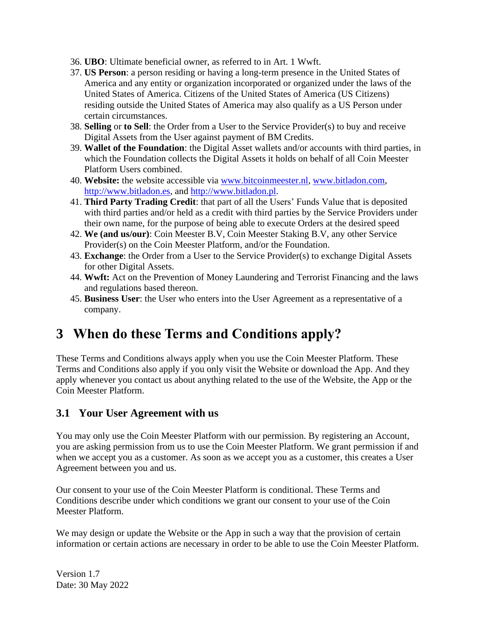- 36. **UBO**: Ultimate beneficial owner, as referred to in Art. 1 Wwft.
- 37. **US Person**: a person residing or having a long-term presence in the United States of America and any entity or organization incorporated or organized under the laws of the United States of America. Citizens of the United States of America (US Citizens) residing outside the United States of America may also qualify as a US Person under certain circumstances.
- 38. **Selling** or **to Sell**: the Order from a User to the Service Provider(s) to buy and receive Digital Assets from the User against payment of BM Credits.
- 39. **Wallet of the Foundation**: the Digital Asset wallets and/or accounts with third parties, in which the Foundation collects the Digital Assets it holds on behalf of all Coin Meester Platform Users combined.
- 40. **Website:** the website accessible via [www.bitcoinmeester.nl,](http://www.bitcoinmeester.nl/) [www.bitladon.com,](http://www.bitladon.com/) [http://www.bitladon.es,](http://www.bitladon.es/) and [http://www.bitladon.pl.](http://www.bitladon.pl/)
- 41. **Third Party Trading Credit**: that part of all the Users' Funds Value that is deposited with third parties and/or held as a credit with third parties by the Service Providers under their own name, for the purpose of being able to execute Orders at the desired speed
- 42. **We (and us/our)**: Coin Meester B.V, Coin Meester Staking B.V, any other Service Provider(s) on the Coin Meester Platform, and/or the Foundation.
- 43. **Exchange**: the Order from a User to the Service Provider(s) to exchange Digital Assets for other Digital Assets.
- 44. **Wwft:** Act on the Prevention of Money Laundering and Terrorist Financing and the laws and regulations based thereon.
- 45. **Business User**: the User who enters into the User Agreement as a representative of a company.

## <span id="page-6-0"></span>**3 When do these Terms and Conditions apply?**

These Terms and Conditions always apply when you use the Coin Meester Platform. These Terms and Conditions also apply if you only visit the Website or download the App. And they apply whenever you contact us about anything related to the use of the Website, the App or the Coin Meester Platform.

#### <span id="page-6-1"></span>**3.1 Your User Agreement with us**

You may only use the Coin Meester Platform with our permission. By registering an Account, you are asking permission from us to use the Coin Meester Platform. We grant permission if and when we accept you as a customer. As soon as we accept you as a customer, this creates a User Agreement between you and us.

Our consent to your use of the Coin Meester Platform is conditional. These Terms and Conditions describe under which conditions we grant our consent to your use of the Coin Meester Platform.

We may design or update the Website or the App in such a way that the provision of certain information or certain actions are necessary in order to be able to use the Coin Meester Platform.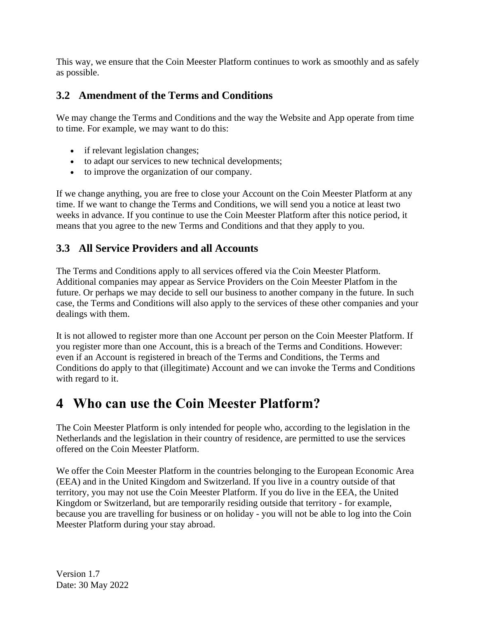This way, we ensure that the Coin Meester Platform continues to work as smoothly and as safely as possible.

#### <span id="page-7-0"></span>**3.2 Amendment of the Terms and Conditions**

We may change the Terms and Conditions and the way the Website and App operate from time to time. For example, we may want to do this:

- if relevant legislation changes;
- to adapt our services to new technical developments;
- to improve the organization of our company.

If we change anything, you are free to close your Account on the Coin Meester Platform at any time. If we want to change the Terms and Conditions, we will send you a notice at least two weeks in advance. If you continue to use the Coin Meester Platform after this notice period, it means that you agree to the new Terms and Conditions and that they apply to you.

#### <span id="page-7-1"></span>**3.3 All Service Providers and all Accounts**

The Terms and Conditions apply to all services offered via the Coin Meester Platform. Additional companies may appear as Service Providers on the Coin Meester Platfom in the future. Or perhaps we may decide to sell our business to another company in the future. In such case, the Terms and Conditions will also apply to the services of these other companies and your dealings with them.

It is not allowed to register more than one Account per person on the Coin Meester Platform. If you register more than one Account, this is a breach of the Terms and Conditions. However: even if an Account is registered in breach of the Terms and Conditions, the Terms and Conditions do apply to that (illegitimate) Account and we can invoke the Terms and Conditions with regard to it.

### <span id="page-7-2"></span>**4 Who can use the Coin Meester Platform?**

The Coin Meester Platform is only intended for people who, according to the legislation in the Netherlands and the legislation in their country of residence, are permitted to use the services offered on the Coin Meester Platform.

We offer the Coin Meester Platform in the countries belonging to the European Economic Area (EEA) and in the United Kingdom and Switzerland. If you live in a country outside of that territory, you may not use the Coin Meester Platform. If you do live in the EEA, the United Kingdom or Switzerland, but are temporarily residing outside that territory - for example, because you are travelling for business or on holiday - you will not be able to log into the Coin Meester Platform during your stay abroad.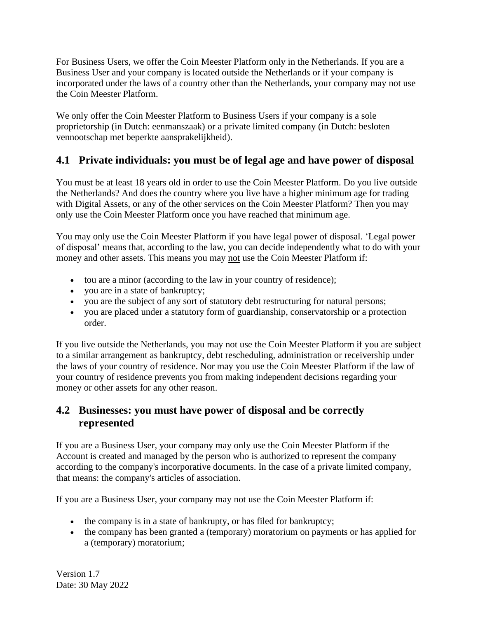For Business Users, we offer the Coin Meester Platform only in the Netherlands. If you are a Business User and your company is located outside the Netherlands or if your company is incorporated under the laws of a country other than the Netherlands, your company may not use the Coin Meester Platform.

We only offer the Coin Meester Platform to Business Users if your company is a sole proprietorship (in Dutch: eenmanszaak) or a private limited company (in Dutch: besloten vennootschap met beperkte aansprakelijkheid).

#### <span id="page-8-0"></span>**4.1 Private individuals: you must be of legal age and have power of disposal**

You must be at least 18 years old in order to use the Coin Meester Platform. Do you live outside the Netherlands? And does the country where you live have a higher minimum age for trading with Digital Assets, or any of the other services on the Coin Meester Platform? Then you may only use the Coin Meester Platform once you have reached that minimum age.

You may only use the Coin Meester Platform if you have legal power of disposal. 'Legal power of disposal' means that, according to the law, you can decide independently what to do with your money and other assets. This means you may not use the Coin Meester Platform if:

- tou are a minor (according to the law in your country of residence);
- you are in a state of bankruptcy;
- you are the subject of any sort of statutory debt restructuring for natural persons;
- you are placed under a statutory form of guardianship, conservatorship or a protection order.

If you live outside the Netherlands, you may not use the Coin Meester Platform if you are subject to a similar arrangement as bankruptcy, debt rescheduling, administration or receivership under the laws of your country of residence. Nor may you use the Coin Meester Platform if the law of your country of residence prevents you from making independent decisions regarding your money or other assets for any other reason.

#### <span id="page-8-1"></span>**4.2 Businesses: you must have power of disposal and be correctly represented**

If you are a Business User, your company may only use the Coin Meester Platform if the Account is created and managed by the person who is authorized to represent the company according to the company's incorporative documents. In the case of a private limited company, that means: the company's articles of association.

If you are a Business User, your company may not use the Coin Meester Platform if:

- the company is in a state of bankrupty, or has filed for bankruptcy;
- the company has been granted a (temporary) moratorium on payments or has applied for a (temporary) moratorium;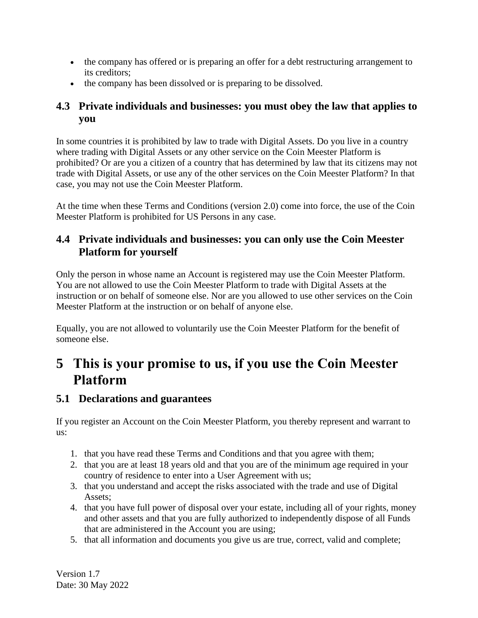- the company has offered or is preparing an offer for a debt restructuring arrangement to its creditors;
- the company has been dissolved or is preparing to be dissolved.

#### <span id="page-9-0"></span>**4.3 Private individuals and businesses: you must obey the law that applies to you**

In some countries it is prohibited by law to trade with Digital Assets. Do you live in a country where trading with Digital Assets or any other service on the Coin Meester Platform is prohibited? Or are you a citizen of a country that has determined by law that its citizens may not trade with Digital Assets, or use any of the other services on the Coin Meester Platform? In that case, you may not use the Coin Meester Platform.

At the time when these Terms and Conditions (version 2.0) come into force, the use of the Coin Meester Platform is prohibited for US Persons in any case.

#### <span id="page-9-1"></span>**4.4 Private individuals and businesses: you can only use the Coin Meester Platform for yourself**

Only the person in whose name an Account is registered may use the Coin Meester Platform. You are not allowed to use the Coin Meester Platform to trade with Digital Assets at the instruction or on behalf of someone else. Nor are you allowed to use other services on the Coin Meester Platform at the instruction or on behalf of anyone else.

Equally, you are not allowed to voluntarily use the Coin Meester Platform for the benefit of someone else.

### <span id="page-9-2"></span>**5 This is your promise to us, if you use the Coin Meester Platform**

#### <span id="page-9-3"></span>**5.1 Declarations and guarantees**

If you register an Account on the Coin Meester Platform, you thereby represent and warrant to us:

- 1. that you have read these Terms and Conditions and that you agree with them;
- 2. that you are at least 18 years old and that you are of the minimum age required in your country of residence to enter into a User Agreement with us;
- 3. that you understand and accept the risks associated with the trade and use of Digital Assets;
- 4. that you have full power of disposal over your estate, including all of your rights, money and other assets and that you are fully authorized to independently dispose of all Funds that are administered in the Account you are using;
- 5. that all information and documents you give us are true, correct, valid and complete;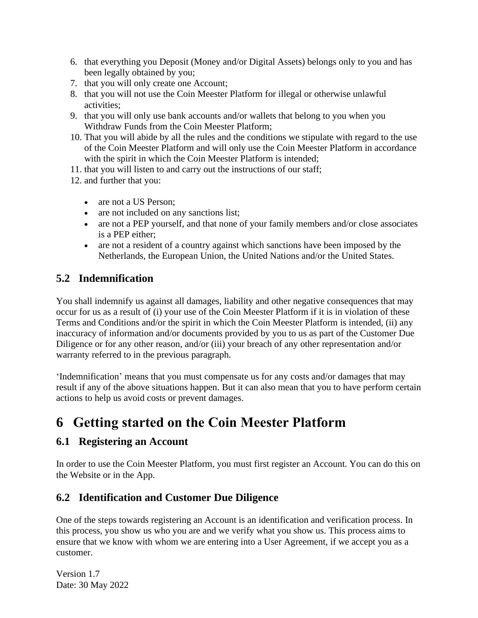- 6. that everything you Deposit (Money and/or Digital Assets) belongs only to you and has been legally obtained by you;
- 7. that you will only create one Account;
- 8. that you will not use the Coin Meester Platform for illegal or otherwise unlawful activities;
- 9. that you will only use bank accounts and/or wallets that belong to you when you Withdraw Funds from the Coin Meester Platform;
- 10. That you will abide by all the rules and the conditions we stipulate with regard to the use of the Coin Meester Platform and will only use the Coin Meester Platform in accordance with the spirit in which the Coin Meester Platform is intended;
- 11. that you will listen to and carry out the instructions of our staff;
- 12. and further that you:
	- are not a US Person:
	- are not included on any sanctions list;
	- are not a PEP yourself, and that none of your family members and/or close associates is a PEP either;
	- are not a resident of a country against which sanctions have been imposed by the Netherlands, the European Union, the United Nations and/or the United States.

#### <span id="page-10-0"></span>**5.2 Indemnification**

You shall indemnify us against all damages, liability and other negative consequences that may occur for us as a result of (i) your use of the Coin Meester Platform if it is in violation of these Terms and Conditions and/or the spirit in which the Coin Meester Platform is intended, (ii) any inaccuracy of information and/or documents provided by you to us as part of the Customer Due Diligence or for any other reason, and/or (iii) your breach of any other representation and/or warranty referred to in the previous paragraph.

'Indemnification' means that you must compensate us for any costs and/or damages that may result if any of the above situations happen. But it can also mean that you to have perform certain actions to help us avoid costs or prevent damages.

# <span id="page-10-1"></span>**6 Getting started on the Coin Meester Platform**

#### <span id="page-10-2"></span>**6.1 Registering an Account**

In order to use the Coin Meester Platform, you must first register an Account. You can do this on the Website or in the App.

#### <span id="page-10-3"></span>**6.2 Identification and Customer Due Diligence**

One of the steps towards registering an Account is an identification and verification process. In this process, you show us who you are and we verify what you show us. This process aims to ensure that we know with whom we are entering into a User Agreement, if we accept you as a customer.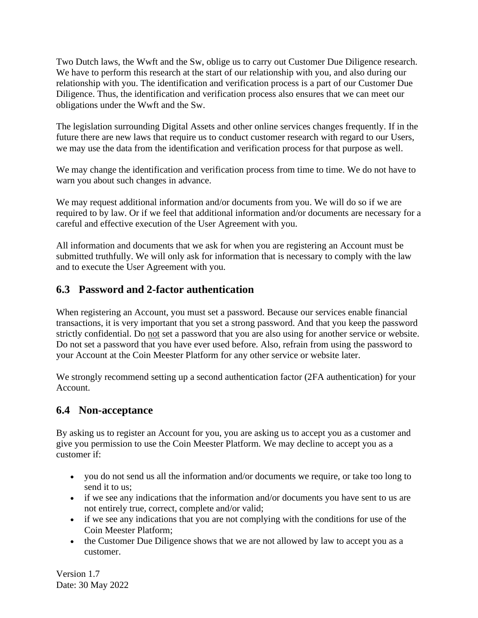Two Dutch laws, the Wwft and the Sw, oblige us to carry out Customer Due Diligence research. We have to perform this research at the start of our relationship with you, and also during our relationship with you. The identification and verification process is a part of our Customer Due Diligence. Thus, the identification and verification process also ensures that we can meet our obligations under the Wwft and the Sw.

The legislation surrounding Digital Assets and other online services changes frequently. If in the future there are new laws that require us to conduct customer research with regard to our Users, we may use the data from the identification and verification process for that purpose as well.

We may change the identification and verification process from time to time. We do not have to warn you about such changes in advance.

We may request additional information and/or documents from you. We will do so if we are required to by law. Or if we feel that additional information and/or documents are necessary for a careful and effective execution of the User Agreement with you.

All information and documents that we ask for when you are registering an Account must be submitted truthfully. We will only ask for information that is necessary to comply with the law and to execute the User Agreement with you.

#### <span id="page-11-0"></span>**6.3 Password and 2-factor authentication**

When registering an Account, you must set a password. Because our services enable financial transactions, it is very important that you set a strong password. And that you keep the password strictly confidential. Do not set a password that you are also using for another service or website. Do not set a password that you have ever used before. Also, refrain from using the password to your Account at the Coin Meester Platform for any other service or website later.

We strongly recommend setting up a second authentication factor (2FA authentication) for your Account.

#### <span id="page-11-1"></span>**6.4 Non-acceptance**

By asking us to register an Account for you, you are asking us to accept you as a customer and give you permission to use the Coin Meester Platform. We may decline to accept you as a customer if:

- you do not send us all the information and/or documents we require, or take too long to send it to us;
- if we see any indications that the information and/or documents you have sent to us are not entirely true, correct, complete and/or valid;
- if we see any indications that you are not complying with the conditions for use of the Coin Meester Platform;
- the Customer Due Diligence shows that we are not allowed by law to accept you as a customer.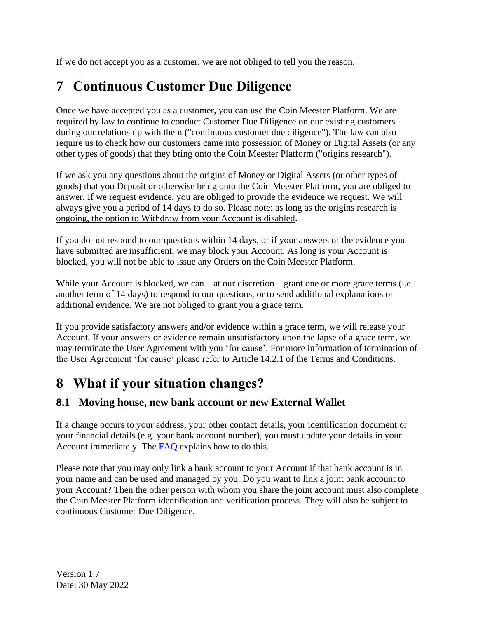If we do not accept you as a customer, we are not obliged to tell you the reason.

# <span id="page-12-0"></span>**7 Continuous Customer Due Diligence**

Once we have accepted you as a customer, you can use the Coin Meester Platform. We are required by law to continue to conduct Customer Due Diligence on our existing customers during our relationship with them ("continuous customer due diligence"). The law can also require us to check how our customers came into possession of Money or Digital Assets (or any other types of goods) that they bring onto the Coin Meester Platform ("origins research").

If we ask you any questions about the origins of Money or Digital Assets (or other types of goods) that you Deposit or otherwise bring onto the Coin Meester Platform, you are obliged to answer. If we request evidence, you are obliged to provide the evidence we request. We will always give you a period of 14 days to do so. Please note: as long as the origins research is ongoing, the option to Withdraw from your Account is disabled.

If you do not respond to our questions within 14 days, or if your answers or the evidence you have submitted are insufficient, we may block your Account. As long is your Account is blocked, you will not be able to issue any Orders on the Coin Meester Platform.

While your Account is blocked, we can – at our discretion – grant one or more grace terms (i.e. another term of 14 days) to respond to our questions, or to send additional explanations or additional evidence. We are not obliged to grant you a grace term.

If you provide satisfactory answers and/or evidence within a grace term, we will release your Account. If your answers or evidence remain unsatisfactory upon the lapse of a grace term, we may terminate the User Agreement with you 'for cause'. For more information of termination of the User Agreement 'for cause' please refer to Article 14.2.1 of the Terms and Conditions.

## <span id="page-12-1"></span>**8 What if your situation changes?**

### <span id="page-12-2"></span>**8.1 Moving house, new bank account or new External Wallet**

If a change occurs to your address, your other contact details, your identification document or your financial details (e.g. your bank account number), you must update your details in your Account immediately. The [FAQ](https://www.bitladon.com/faq) explains how to do this.

Please note that you may only link a bank account to your Account if that bank account is in your name and can be used and managed by you. Do you want to link a joint bank account to your Account? Then the other person with whom you share the joint account must also complete the Coin Meester Platform identification and verification process. They will also be subject to continuous Customer Due Diligence.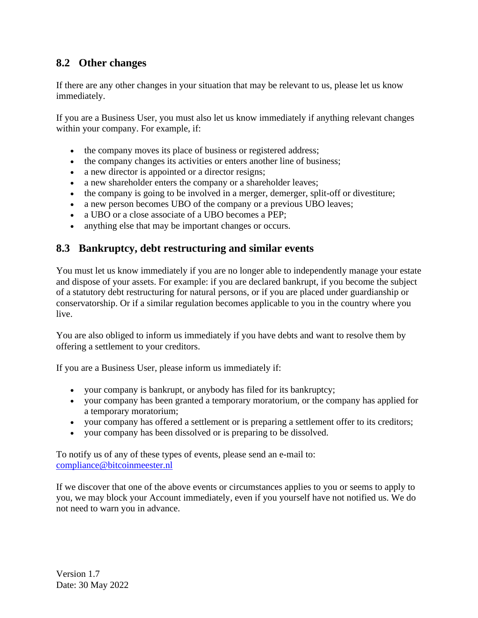#### <span id="page-13-0"></span>**8.2 Other changes**

If there are any other changes in your situation that may be relevant to us, please let us know immediately.

If you are a Business User, you must also let us know immediately if anything relevant changes within your company. For example, if:

- the company moves its place of business or registered address;
- the company changes its activities or enters another line of business;
- a new director is appointed or a director resigns;
- a new shareholder enters the company or a shareholder leaves;
- the company is going to be involved in a merger, demerger, split-off or divestiture;
- a new person becomes UBO of the company or a previous UBO leaves;
- a UBO or a close associate of a UBO becomes a PEP:
- anything else that may be important changes or occurs.

#### <span id="page-13-1"></span>**8.3 Bankruptcy, debt restructuring and similar events**

You must let us know immediately if you are no longer able to independently manage your estate and dispose of your assets. For example: if you are declared bankrupt, if you become the subject of a statutory debt restructuring for natural persons, or if you are placed under guardianship or conservatorship. Or if a similar regulation becomes applicable to you in the country where you live.

You are also obliged to inform us immediately if you have debts and want to resolve them by offering a settlement to your creditors.

If you are a Business User, please inform us immediately if:

- your company is bankrupt, or anybody has filed for its bankruptcy;
- your company has been granted a temporary moratorium, or the company has applied for a temporary moratorium;
- your company has offered a settlement or is preparing a settlement offer to its creditors;
- your company has been dissolved or is preparing to be dissolved.

To notify us of any of these types of events, please send an e-mail to: [compliance@bitcoinmeester.nl](mailto:compliance@bitcoinmeester.nl)

If we discover that one of the above events or circumstances applies to you or seems to apply to you, we may block your Account immediately, even if you yourself have not notified us. We do not need to warn you in advance.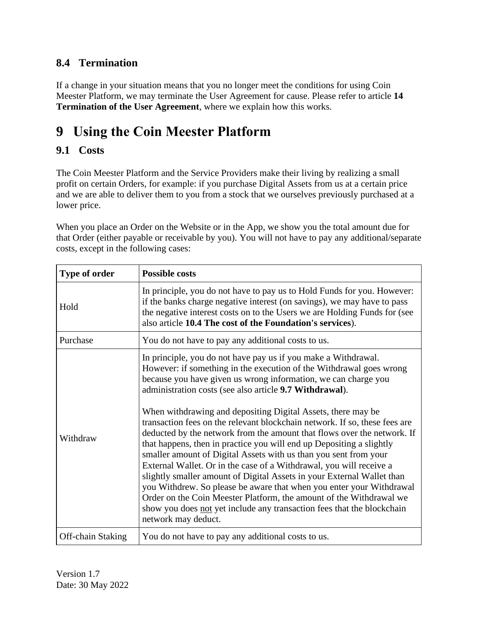#### <span id="page-14-0"></span>**8.4 Termination**

If a change in your situation means that you no longer meet the conditions for using Coin Meester Platform, we may terminate the User Agreement for cause. Please refer to article **14 [Termination of the User Agreement](#page-27-0)**, where we explain how this works.

# <span id="page-14-1"></span>**9 Using the Coin Meester Platform**

#### <span id="page-14-2"></span>**9.1 Costs**

The Coin Meester Platform and the Service Providers make their living by realizing a small profit on certain Orders, for example: if you purchase Digital Assets from us at a certain price and we are able to deliver them to you from a stock that we ourselves previously purchased at a lower price.

When you place an Order on the Website or in the App, we show you the total amount due for that Order (either payable or receivable by you). You will not have to pay any additional/separate costs, except in the following cases:

| Type of order     | <b>Possible costs</b>                                                                                                                                                                                                                                                                                                                                                                                                                                                                                                                                                                                                                                                                                                                                                                                                                                                                                                                                                                                                                    |  |
|-------------------|------------------------------------------------------------------------------------------------------------------------------------------------------------------------------------------------------------------------------------------------------------------------------------------------------------------------------------------------------------------------------------------------------------------------------------------------------------------------------------------------------------------------------------------------------------------------------------------------------------------------------------------------------------------------------------------------------------------------------------------------------------------------------------------------------------------------------------------------------------------------------------------------------------------------------------------------------------------------------------------------------------------------------------------|--|
| Hold              | In principle, you do not have to pay us to Hold Funds for you. However:<br>if the banks charge negative interest (on savings), we may have to pass<br>the negative interest costs on to the Users we are Holding Funds for (see<br>also article 10.4 The cost of the Foundation's services).                                                                                                                                                                                                                                                                                                                                                                                                                                                                                                                                                                                                                                                                                                                                             |  |
| Purchase          | You do not have to pay any additional costs to us.                                                                                                                                                                                                                                                                                                                                                                                                                                                                                                                                                                                                                                                                                                                                                                                                                                                                                                                                                                                       |  |
| Withdraw          | In principle, you do not have pay us if you make a Withdrawal.<br>However: if something in the execution of the Withdrawal goes wrong<br>because you have given us wrong information, we can charge you<br>administration costs (see also article 9.7 Withdrawal).<br>When withdrawing and depositing Digital Assets, there may be<br>transaction fees on the relevant blockchain network. If so, these fees are<br>deducted by the network from the amount that flows over the network. If<br>that happens, then in practice you will end up Depositing a slightly<br>smaller amount of Digital Assets with us than you sent from your<br>External Wallet. Or in the case of a Withdrawal, you will receive a<br>slightly smaller amount of Digital Assets in your External Wallet than<br>you Withdrew. So please be aware that when you enter your Withdrawal<br>Order on the Coin Meester Platform, the amount of the Withdrawal we<br>show you does not yet include any transaction fees that the blockchain<br>network may deduct. |  |
| Off-chain Staking | You do not have to pay any additional costs to us.                                                                                                                                                                                                                                                                                                                                                                                                                                                                                                                                                                                                                                                                                                                                                                                                                                                                                                                                                                                       |  |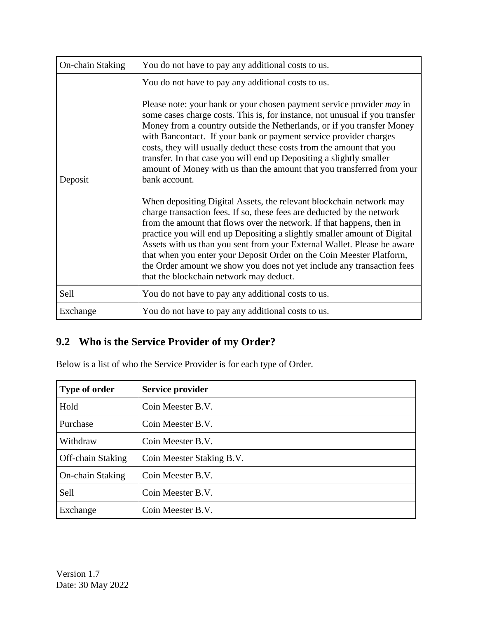| On-chain Staking | You do not have to pay any additional costs to us.                                                                                                                                                                                                                                                                                                                                                                                                                                                                                                                         |
|------------------|----------------------------------------------------------------------------------------------------------------------------------------------------------------------------------------------------------------------------------------------------------------------------------------------------------------------------------------------------------------------------------------------------------------------------------------------------------------------------------------------------------------------------------------------------------------------------|
|                  | You do not have to pay any additional costs to us.<br>Please note: your bank or your chosen payment service provider <i>may</i> in<br>some cases charge costs. This is, for instance, not unusual if you transfer                                                                                                                                                                                                                                                                                                                                                          |
| Deposit          | Money from a country outside the Netherlands, or if you transfer Money<br>with Bancontact. If your bank or payment service provider charges<br>costs, they will usually deduct these costs from the amount that you<br>transfer. In that case you will end up Depositing a slightly smaller<br>amount of Money with us than the amount that you transferred from your<br>bank account.                                                                                                                                                                                     |
|                  | When depositing Digital Assets, the relevant blockchain network may<br>charge transaction fees. If so, these fees are deducted by the network<br>from the amount that flows over the network. If that happens, then in<br>practice you will end up Depositing a slightly smaller amount of Digital<br>Assets with us than you sent from your External Wallet. Please be aware<br>that when you enter your Deposit Order on the Coin Meester Platform,<br>the Order amount we show you does not yet include any transaction fees<br>that the blockchain network may deduct. |
| Sell             | You do not have to pay any additional costs to us.                                                                                                                                                                                                                                                                                                                                                                                                                                                                                                                         |
| Exchange         | You do not have to pay any additional costs to us.                                                                                                                                                                                                                                                                                                                                                                                                                                                                                                                         |

### <span id="page-15-0"></span>**9.2 Who is the Service Provider of my Order?**

Below is a list of who the Service Provider is for each type of Order.

| Type of order            | Service provider          |
|--------------------------|---------------------------|
| Hold                     | Coin Meester B.V.         |
| Purchase                 | Coin Meester B.V.         |
| Withdraw                 | Coin Meester B.V.         |
| <b>Off-chain Staking</b> | Coin Meester Staking B.V. |
| On-chain Staking         | Coin Meester B.V.         |
| Sell                     | Coin Meester B.V.         |
| Exchange                 | Coin Meester B.V.         |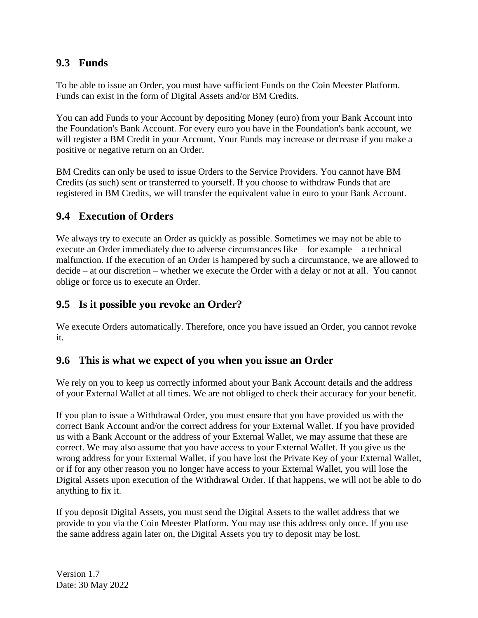#### <span id="page-16-0"></span>**9.3 Funds**

To be able to issue an Order, you must have sufficient Funds on the Coin Meester Platform. Funds can exist in the form of Digital Assets and/or BM Credits.

You can add Funds to your Account by depositing Money (euro) from your Bank Account into the Foundation's Bank Account. For every euro you have in the Foundation's bank account, we will register a BM Credit in your Account. Your Funds may increase or decrease if you make a positive or negative return on an Order.

BM Credits can only be used to issue Orders to the Service Providers. You cannot have BM Credits (as such) sent or transferred to yourself. If you choose to withdraw Funds that are registered in BM Credits, we will transfer the equivalent value in euro to your Bank Account.

#### <span id="page-16-1"></span>**9.4 Execution of Orders**

We always try to execute an Order as quickly as possible. Sometimes we may not be able to execute an Order immediately due to adverse circumstances like – for example – a technical malfunction. If the execution of an Order is hampered by such a circumstance, we are allowed to decide – at our discretion – whether we execute the Order with a delay or not at all. You cannot oblige or force us to execute an Order.

#### <span id="page-16-2"></span>**9.5 Is it possible you revoke an Order?**

We execute Orders automatically. Therefore, once you have issued an Order, you cannot revoke it.

#### <span id="page-16-3"></span>**9.6 This is what we expect of you when you issue an Order**

We rely on you to keep us correctly informed about your Bank Account details and the address of your External Wallet at all times. We are not obliged to check their accuracy for your benefit.

If you plan to issue a Withdrawal Order, you must ensure that you have provided us with the correct Bank Account and/or the correct address for your External Wallet. If you have provided us with a Bank Account or the address of your External Wallet, we may assume that these are correct. We may also assume that you have access to your External Wallet. If you give us the wrong address for your External Wallet, if you have lost the Private Key of your External Wallet, or if for any other reason you no longer have access to your External Wallet, you will lose the Digital Assets upon execution of the Withdrawal Order. If that happens, we will not be able to do anything to fix it.

If you deposit Digital Assets, you must send the Digital Assets to the wallet address that we provide to you via the Coin Meester Platform. You may use this address only once. If you use the same address again later on, the Digital Assets you try to deposit may be lost.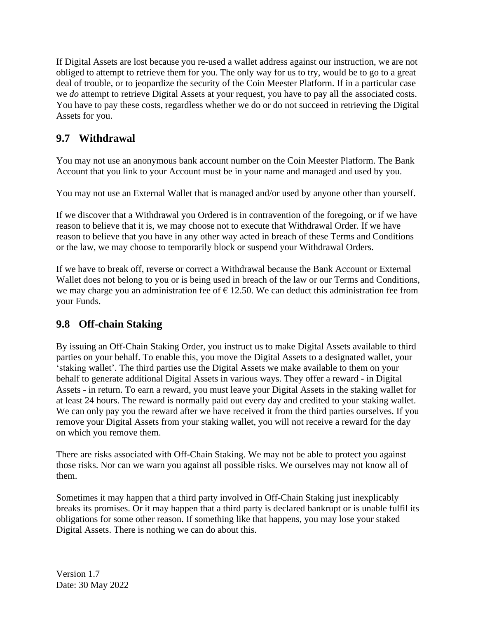If Digital Assets are lost because you re-used a wallet address against our instruction, we are not obliged to attempt to retrieve them for you. The only way for us to try, would be to go to a great deal of trouble, or to jeopardize the security of the Coin Meester Platform. If in a particular case we *do* attempt to retrieve Digital Assets at your request, you have to pay all the associated costs. You have to pay these costs, regardless whether we do or do not succeed in retrieving the Digital Assets for you.

#### <span id="page-17-0"></span>**9.7 Withdrawal**

You may not use an anonymous bank account number on the Coin Meester Platform. The Bank Account that you link to your Account must be in your name and managed and used by you.

You may not use an External Wallet that is managed and/or used by anyone other than yourself.

If we discover that a Withdrawal you Ordered is in contravention of the foregoing, or if we have reason to believe that it is, we may choose not to execute that Withdrawal Order. If we have reason to believe that you have in any other way acted in breach of these Terms and Conditions or the law, we may choose to temporarily block or suspend your Withdrawal Orders.

If we have to break off, reverse or correct a Withdrawal because the Bank Account or External Wallet does not belong to you or is being used in breach of the law or our Terms and Conditions, we may charge you an administration fee of  $\epsilon$  12.50. We can deduct this administration fee from your Funds.

#### <span id="page-17-1"></span>**9.8 Off-chain Staking**

By issuing an Off-Chain Staking Order, you instruct us to make Digital Assets available to third parties on your behalf. To enable this, you move the Digital Assets to a designated wallet, your 'staking wallet'. The third parties use the Digital Assets we make available to them on your behalf to generate additional Digital Assets in various ways. They offer a reward - in Digital Assets - in return. To earn a reward, you must leave your Digital Assets in the staking wallet for at least 24 hours. The reward is normally paid out every day and credited to your staking wallet. We can only pay you the reward after we have received it from the third parties ourselves. If you remove your Digital Assets from your staking wallet, you will not receive a reward for the day on which you remove them.

There are risks associated with Off-Chain Staking. We may not be able to protect you against those risks. Nor can we warn you against all possible risks. We ourselves may not know all of them.

Sometimes it may happen that a third party involved in Off-Chain Staking just inexplicably breaks its promises. Or it may happen that a third party is declared bankrupt or is unable fulfil its obligations for some other reason. If something like that happens, you may lose your staked Digital Assets. There is nothing we can do about this.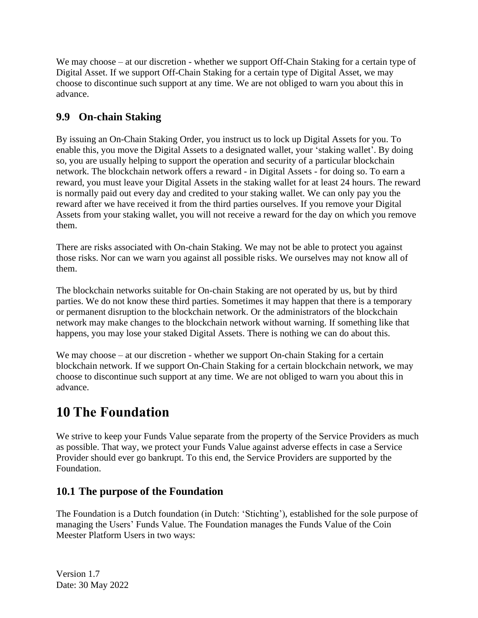We may choose – at our discretion - whether we support Off-Chain Staking for a certain type of Digital Asset. If we support Off-Chain Staking for a certain type of Digital Asset, we may choose to discontinue such support at any time. We are not obliged to warn you about this in advance.

### <span id="page-18-0"></span>**9.9 On-chain Staking**

By issuing an On-Chain Staking Order, you instruct us to lock up Digital Assets for you. To enable this, you move the Digital Assets to a designated wallet, your 'staking wallet'. By doing so, you are usually helping to support the operation and security of a particular blockchain network. The blockchain network offers a reward - in Digital Assets - for doing so. To earn a reward, you must leave your Digital Assets in the staking wallet for at least 24 hours. The reward is normally paid out every day and credited to your staking wallet. We can only pay you the reward after we have received it from the third parties ourselves. If you remove your Digital Assets from your staking wallet, you will not receive a reward for the day on which you remove them.

There are risks associated with On-chain Staking. We may not be able to protect you against those risks. Nor can we warn you against all possible risks. We ourselves may not know all of them.

The blockchain networks suitable for On-chain Staking are not operated by us, but by third parties. We do not know these third parties. Sometimes it may happen that there is a temporary or permanent disruption to the blockchain network. Or the administrators of the blockchain network may make changes to the blockchain network without warning. If something like that happens, you may lose your staked Digital Assets. There is nothing we can do about this.

We may choose – at our discretion - whether we support On-chain Staking for a certain blockchain network. If we support On-Chain Staking for a certain blockchain network, we may choose to discontinue such support at any time. We are not obliged to warn you about this in advance.

## <span id="page-18-1"></span>**10 The Foundation**

We strive to keep your Funds Value separate from the property of the Service Providers as much as possible. That way, we protect your Funds Value against adverse effects in case a Service Provider should ever go bankrupt. To this end, the Service Providers are supported by the Foundation.

#### <span id="page-18-2"></span>**10.1 The purpose of the Foundation**

The Foundation is a Dutch foundation (in Dutch: 'Stichting'), established for the sole purpose of managing the Users' Funds Value. The Foundation manages the Funds Value of the Coin Meester Platform Users in two ways: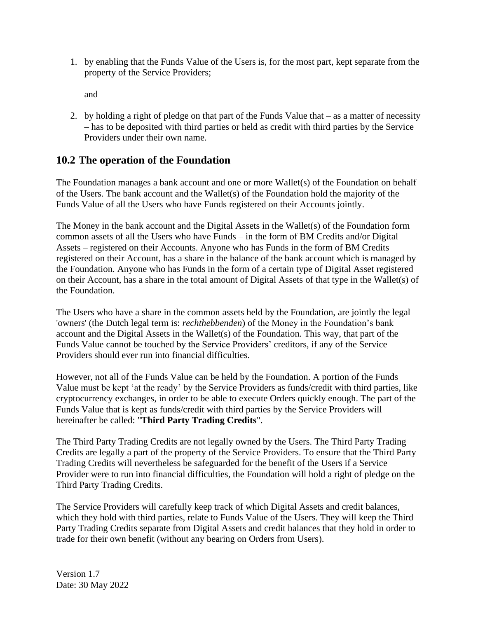1. by enabling that the Funds Value of the Users is, for the most part, kept separate from the property of the Service Providers;

and

2. by holding a right of pledge on that part of the Funds Value that – as a matter of necessity – has to be deposited with third parties or held as credit with third parties by the Service Providers under their own name.

#### <span id="page-19-0"></span>**10.2 The operation of the Foundation**

The Foundation manages a bank account and one or more Wallet(s) of the Foundation on behalf of the Users. The bank account and the Wallet(s) of the Foundation hold the majority of the Funds Value of all the Users who have Funds registered on their Accounts jointly.

The Money in the bank account and the Digital Assets in the Wallet(s) of the Foundation form common assets of all the Users who have Funds – in the form of BM Credits and/or Digital Assets – registered on their Accounts. Anyone who has Funds in the form of BM Credits registered on their Account, has a share in the balance of the bank account which is managed by the Foundation. Anyone who has Funds in the form of a certain type of Digital Asset registered on their Account, has a share in the total amount of Digital Assets of that type in the Wallet(s) of the Foundation.

The Users who have a share in the common assets held by the Foundation, are jointly the legal 'owners' (the Dutch legal term is: *rechthebbenden*) of the Money in the Foundation's bank account and the Digital Assets in the Wallet(s) of the Foundation. This way, that part of the Funds Value cannot be touched by the Service Providers' creditors, if any of the Service Providers should ever run into financial difficulties.

However, not all of the Funds Value can be held by the Foundation. A portion of the Funds Value must be kept 'at the ready' by the Service Providers as funds/credit with third parties, like cryptocurrency exchanges, in order to be able to execute Orders quickly enough. The part of the Funds Value that is kept as funds/credit with third parties by the Service Providers will hereinafter be called: "**Third Party Trading Credits**".

The Third Party Trading Credits are not legally owned by the Users. The Third Party Trading Credits are legally a part of the property of the Service Providers. To ensure that the Third Party Trading Credits will nevertheless be safeguarded for the benefit of the Users if a Service Provider were to run into financial difficulties, the Foundation will hold a right of pledge on the Third Party Trading Credits.

The Service Providers will carefully keep track of which Digital Assets and credit balances, which they hold with third parties, relate to Funds Value of the Users. They will keep the Third Party Trading Credits separate from Digital Assets and credit balances that they hold in order to trade for their own benefit (without any bearing on Orders from Users).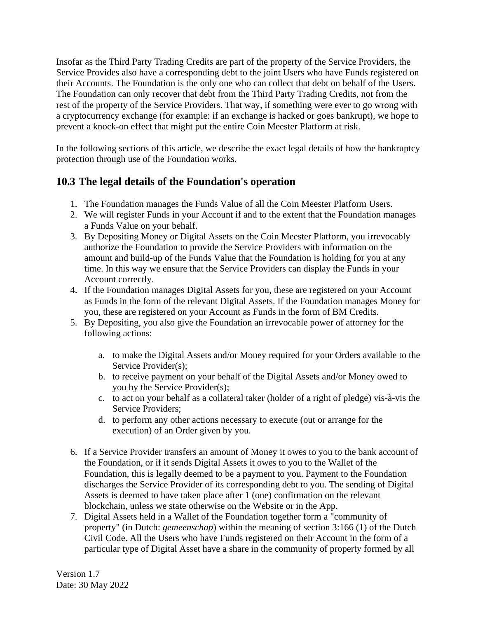Insofar as the Third Party Trading Credits are part of the property of the Service Providers, the Service Provides also have a corresponding debt to the joint Users who have Funds registered on their Accounts. The Foundation is the only one who can collect that debt on behalf of the Users. The Foundation can only recover that debt from the Third Party Trading Credits, not from the rest of the property of the Service Providers. That way, if something were ever to go wrong with a cryptocurrency exchange (for example: if an exchange is hacked or goes bankrupt), we hope to prevent a knock-on effect that might put the entire Coin Meester Platform at risk.

In the following sections of this article, we describe the exact legal details of how the bankruptcy protection through use of the Foundation works.

#### <span id="page-20-0"></span>**10.3 The legal details of the Foundation's operation**

- 1. The Foundation manages the Funds Value of all the Coin Meester Platform Users.
- 2. We will register Funds in your Account if and to the extent that the Foundation manages a Funds Value on your behalf.
- 3. By Depositing Money or Digital Assets on the Coin Meester Platform, you irrevocably authorize the Foundation to provide the Service Providers with information on the amount and build-up of the Funds Value that the Foundation is holding for you at any time. In this way we ensure that the Service Providers can display the Funds in your Account correctly.
- 4. If the Foundation manages Digital Assets for you, these are registered on your Account as Funds in the form of the relevant Digital Assets. If the Foundation manages Money for you, these are registered on your Account as Funds in the form of BM Credits.
- 5. By Depositing, you also give the Foundation an irrevocable power of attorney for the following actions:
	- a. to make the Digital Assets and/or Money required for your Orders available to the Service Provider(s);
	- b. to receive payment on your behalf of the Digital Assets and/or Money owed to you by the Service Provider(s);
	- c. to act on your behalf as a collateral taker (holder of a right of pledge) vis-à-vis the Service Providers;
	- d. to perform any other actions necessary to execute (out or arrange for the execution) of an Order given by you.
- 6. If a Service Provider transfers an amount of Money it owes to you to the bank account of the Foundation, or if it sends Digital Assets it owes to you to the Wallet of the Foundation, this is legally deemed to be a payment to you. Payment to the Foundation discharges the Service Provider of its corresponding debt to you. The sending of Digital Assets is deemed to have taken place after 1 (one) confirmation on the relevant blockchain, unless we state otherwise on the Website or in the App.
- 7. Digital Assets held in a Wallet of the Foundation together form a "community of property" (in Dutch: *gemeenschap*) within the meaning of section 3:166 (1) of the Dutch Civil Code. All the Users who have Funds registered on their Account in the form of a particular type of Digital Asset have a share in the community of property formed by all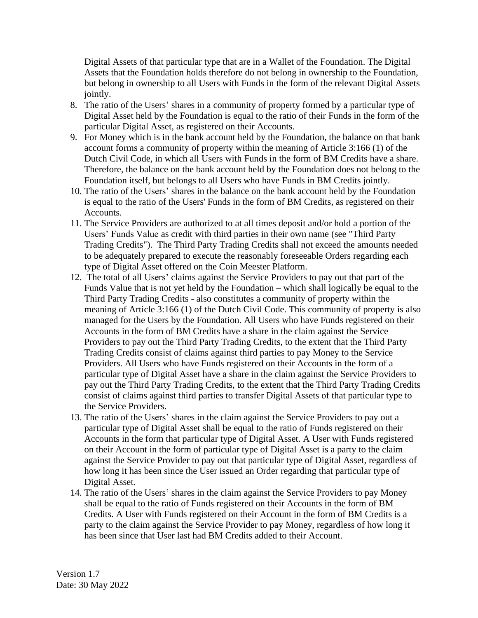Digital Assets of that particular type that are in a Wallet of the Foundation. The Digital Assets that the Foundation holds therefore do not belong in ownership to the Foundation, but belong in ownership to all Users with Funds in the form of the relevant Digital Assets jointly.

- 8. The ratio of the Users' shares in a community of property formed by a particular type of Digital Asset held by the Foundation is equal to the ratio of their Funds in the form of the particular Digital Asset, as registered on their Accounts.
- 9. For Money which is in the bank account held by the Foundation, the balance on that bank account forms a community of property within the meaning of Article 3:166 (1) of the Dutch Civil Code, in which all Users with Funds in the form of BM Credits have a share. Therefore, the balance on the bank account held by the Foundation does not belong to the Foundation itself, but belongs to all Users who have Funds in BM Credits jointly.
- 10. The ratio of the Users' shares in the balance on the bank account held by the Foundation is equal to the ratio of the Users' Funds in the form of BM Credits, as registered on their Accounts.
- 11. The Service Providers are authorized to at all times deposit and/or hold a portion of the Users' Funds Value as credit with third parties in their own name (see "Third Party Trading Credits"). The Third Party Trading Credits shall not exceed the amounts needed to be adequately prepared to execute the reasonably foreseeable Orders regarding each type of Digital Asset offered on the Coin Meester Platform.
- 12. The total of all Users' claims against the Service Providers to pay out that part of the Funds Value that is not yet held by the Foundation – which shall logically be equal to the Third Party Trading Credits - also constitutes a community of property within the meaning of Article 3:166 (1) of the Dutch Civil Code. This community of property is also managed for the Users by the Foundation. All Users who have Funds registered on their Accounts in the form of BM Credits have a share in the claim against the Service Providers to pay out the Third Party Trading Credits, to the extent that the Third Party Trading Credits consist of claims against third parties to pay Money to the Service Providers. All Users who have Funds registered on their Accounts in the form of a particular type of Digital Asset have a share in the claim against the Service Providers to pay out the Third Party Trading Credits, to the extent that the Third Party Trading Credits consist of claims against third parties to transfer Digital Assets of that particular type to the Service Providers.
- 13. The ratio of the Users' shares in the claim against the Service Providers to pay out a particular type of Digital Asset shall be equal to the ratio of Funds registered on their Accounts in the form that particular type of Digital Asset. A User with Funds registered on their Account in the form of particular type of Digital Asset is a party to the claim against the Service Provider to pay out that particular type of Digital Asset, regardless of how long it has been since the User issued an Order regarding that particular type of Digital Asset.
- 14. The ratio of the Users' shares in the claim against the Service Providers to pay Money shall be equal to the ratio of Funds registered on their Accounts in the form of BM Credits. A User with Funds registered on their Account in the form of BM Credits is a party to the claim against the Service Provider to pay Money, regardless of how long it has been since that User last had BM Credits added to their Account.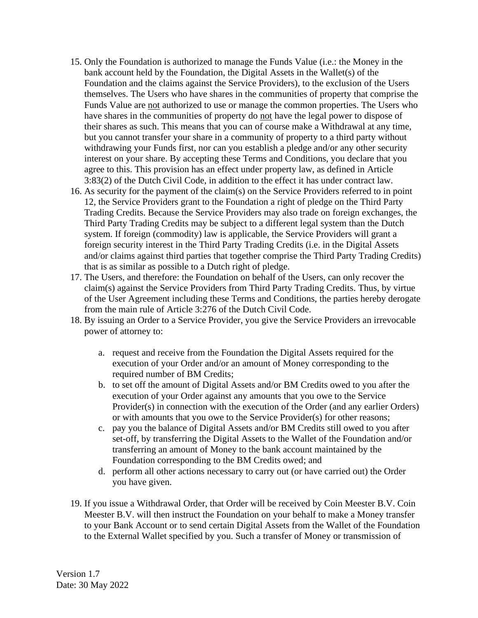- 15. Only the Foundation is authorized to manage the Funds Value (i.e.: the Money in the bank account held by the Foundation, the Digital Assets in the Wallet(s) of the Foundation and the claims against the Service Providers), to the exclusion of the Users themselves. The Users who have shares in the communities of property that comprise the Funds Value are not authorized to use or manage the common properties. The Users who have shares in the communities of property do not have the legal power to dispose of their shares as such. This means that you can of course make a Withdrawal at any time, but you cannot transfer your share in a community of property to a third party without withdrawing your Funds first, nor can you establish a pledge and/or any other security interest on your share. By accepting these Terms and Conditions, you declare that you agree to this. This provision has an effect under property law, as defined in Article 3:83(2) of the Dutch Civil Code, in addition to the effect it has under contract law.
- 16. As security for the payment of the claim(s) on the Service Providers referred to in point 12, the Service Providers grant to the Foundation a right of pledge on the Third Party Trading Credits. Because the Service Providers may also trade on foreign exchanges, the Third Party Trading Credits may be subject to a different legal system than the Dutch system. If foreign (commodity) law is applicable, the Service Providers will grant a foreign security interest in the Third Party Trading Credits (i.e. in the Digital Assets and/or claims against third parties that together comprise the Third Party Trading Credits) that is as similar as possible to a Dutch right of pledge.
- 17. The Users, and therefore: the Foundation on behalf of the Users, can only recover the claim(s) against the Service Providers from Third Party Trading Credits. Thus, by virtue of the User Agreement including these Terms and Conditions, the parties hereby derogate from the main rule of Article 3:276 of the Dutch Civil Code.
- 18. By issuing an Order to a Service Provider, you give the Service Providers an irrevocable power of attorney to:
	- a. request and receive from the Foundation the Digital Assets required for the execution of your Order and/or an amount of Money corresponding to the required number of BM Credits;
	- b. to set off the amount of Digital Assets and/or BM Credits owed to you after the execution of your Order against any amounts that you owe to the Service Provider(s) in connection with the execution of the Order (and any earlier Orders) or with amounts that you owe to the Service Provider(s) for other reasons;
	- c. pay you the balance of Digital Assets and/or BM Credits still owed to you after set-off, by transferring the Digital Assets to the Wallet of the Foundation and/or transferring an amount of Money to the bank account maintained by the Foundation corresponding to the BM Credits owed; and
	- d. perform all other actions necessary to carry out (or have carried out) the Order you have given.
- 19. If you issue a Withdrawal Order, that Order will be received by Coin Meester B.V. Coin Meester B.V. will then instruct the Foundation on your behalf to make a Money transfer to your Bank Account or to send certain Digital Assets from the Wallet of the Foundation to the External Wallet specified by you. Such a transfer of Money or transmission of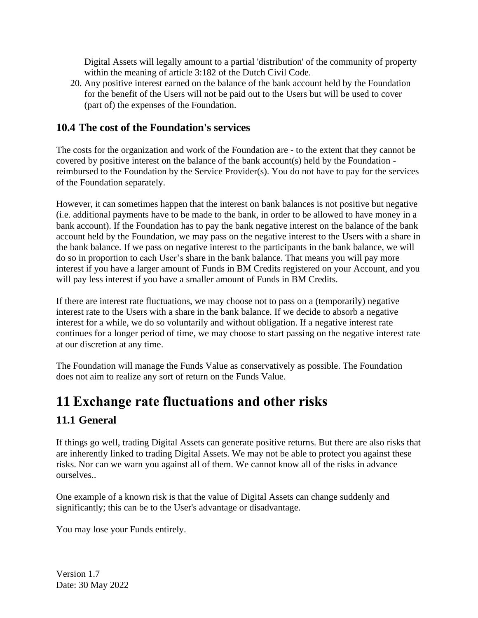Digital Assets will legally amount to a partial 'distribution' of the community of property within the meaning of article 3:182 of the Dutch Civil Code.

20. Any positive interest earned on the balance of the bank account held by the Foundation for the benefit of the Users will not be paid out to the Users but will be used to cover (part of) the expenses of the Foundation.

#### <span id="page-23-0"></span>**10.4 The cost of the Foundation's services**

The costs for the organization and work of the Foundation are - to the extent that they cannot be covered by positive interest on the balance of the bank account(s) held by the Foundation reimbursed to the Foundation by the Service Provider(s). You do not have to pay for the services of the Foundation separately.

However, it can sometimes happen that the interest on bank balances is not positive but negative (i.e. additional payments have to be made to the bank, in order to be allowed to have money in a bank account). If the Foundation has to pay the bank negative interest on the balance of the bank account held by the Foundation, we may pass on the negative interest to the Users with a share in the bank balance. If we pass on negative interest to the participants in the bank balance, we will do so in proportion to each User's share in the bank balance. That means you will pay more interest if you have a larger amount of Funds in BM Credits registered on your Account, and you will pay less interest if you have a smaller amount of Funds in BM Credits.

If there are interest rate fluctuations, we may choose not to pass on a (temporarily) negative interest rate to the Users with a share in the bank balance. If we decide to absorb a negative interest for a while, we do so voluntarily and without obligation. If a negative interest rate continues for a longer period of time, we may choose to start passing on the negative interest rate at our discretion at any time.

The Foundation will manage the Funds Value as conservatively as possible. The Foundation does not aim to realize any sort of return on the Funds Value.

# <span id="page-23-1"></span>**11 Exchange rate fluctuations and other risks**

### <span id="page-23-2"></span>**11.1 General**

If things go well, trading Digital Assets can generate positive returns. But there are also risks that are inherently linked to trading Digital Assets. We may not be able to protect you against these risks. Nor can we warn you against all of them. We cannot know all of the risks in advance ourselves..

One example of a known risk is that the value of Digital Assets can change suddenly and significantly; this can be to the User's advantage or disadvantage.

You may lose your Funds entirely.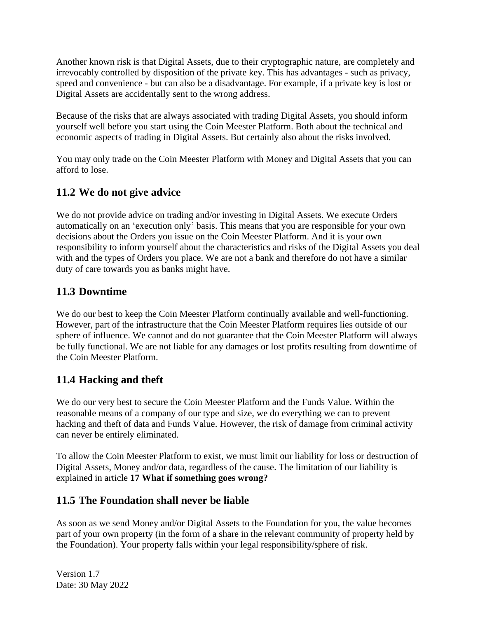Another known risk is that Digital Assets, due to their cryptographic nature, are completely and irrevocably controlled by disposition of the private key. This has advantages - such as privacy, speed and convenience - but can also be a disadvantage. For example, if a private key is lost or Digital Assets are accidentally sent to the wrong address.

Because of the risks that are always associated with trading Digital Assets, you should inform yourself well before you start using the Coin Meester Platform. Both about the technical and economic aspects of trading in Digital Assets. But certainly also about the risks involved.

You may only trade on the Coin Meester Platform with Money and Digital Assets that you can afford to lose.

#### <span id="page-24-0"></span>**11.2 We do not give advice**

We do not provide advice on trading and/or investing in Digital Assets. We execute Orders automatically on an 'execution only' basis. This means that you are responsible for your own decisions about the Orders you issue on the Coin Meester Platform. And it is your own responsibility to inform yourself about the characteristics and risks of the Digital Assets you deal with and the types of Orders you place. We are not a bank and therefore do not have a similar duty of care towards you as banks might have.

#### <span id="page-24-1"></span>**11.3 Downtime**

We do our best to keep the Coin Meester Platform continually available and well-functioning. However, part of the infrastructure that the Coin Meester Platform requires lies outside of our sphere of influence. We cannot and do not guarantee that the Coin Meester Platform will always be fully functional. We are not liable for any damages or lost profits resulting from downtime of the Coin Meester Platform.

#### <span id="page-24-2"></span>**11.4 Hacking and theft**

We do our very best to secure the Coin Meester Platform and the Funds Value. Within the reasonable means of a company of our type and size, we do everything we can to prevent hacking and theft of data and Funds Value. However, the risk of damage from criminal activity can never be entirely eliminated.

To allow the Coin Meester Platform to exist, we must limit our liability for loss or destruction of Digital Assets, Money and/or data, regardless of the cause. The limitation of our liability is explained in article **17 [What if something goes wrong?](#page-35-0)**

#### <span id="page-24-3"></span>**11.5 The Foundation shall never be liable**

As soon as we send Money and/or Digital Assets to the Foundation for you, the value becomes part of your own property (in the form of a share in the relevant community of property held by the Foundation). Your property falls within your legal responsibility/sphere of risk.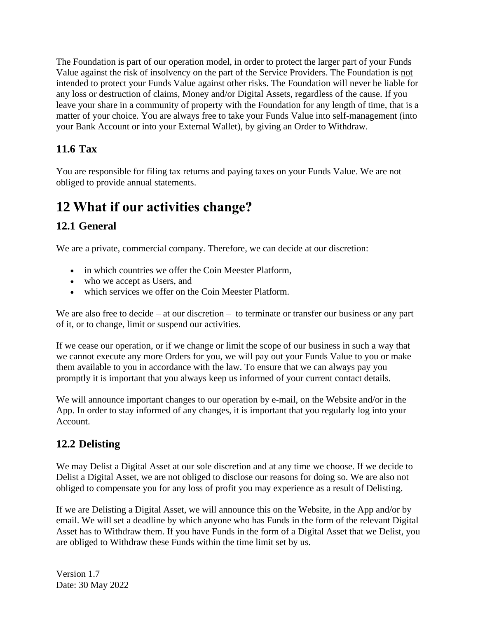The Foundation is part of our operation model, in order to protect the larger part of your Funds Value against the risk of insolvency on the part of the Service Providers. The Foundation is not intended to protect your Funds Value against other risks. The Foundation will never be liable for any loss or destruction of claims, Money and/or Digital Assets, regardless of the cause. If you leave your share in a community of property with the Foundation for any length of time, that is a matter of your choice. You are always free to take your Funds Value into self-management (into your Bank Account or into your External Wallet), by giving an Order to Withdraw.

### <span id="page-25-0"></span>**11.6 Tax**

You are responsible for filing tax returns and paying taxes on your Funds Value. We are not obliged to provide annual statements.

# <span id="page-25-1"></span>**12 What if our activities change?**

### <span id="page-25-2"></span>**12.1 General**

We are a private, commercial company. Therefore, we can decide at our discretion:

- in which countries we offer the Coin Meester Platform.
- who we accept as Users, and
- which services we offer on the Coin Meester Platform.

We are also free to decide – at our discretion – to terminate or transfer our business or any part of it, or to change, limit or suspend our activities.

If we cease our operation, or if we change or limit the scope of our business in such a way that we cannot execute any more Orders for you, we will pay out your Funds Value to you or make them available to you in accordance with the law. To ensure that we can always pay you promptly it is important that you always keep us informed of your current contact details.

We will announce important changes to our operation by e-mail, on the Website and/or in the App. In order to stay informed of any changes, it is important that you regularly log into your Account.

### <span id="page-25-3"></span>**12.2 Delisting**

We may Delist a Digital Asset at our sole discretion and at any time we choose. If we decide to Delist a Digital Asset, we are not obliged to disclose our reasons for doing so. We are also not obliged to compensate you for any loss of profit you may experience as a result of Delisting.

If we are Delisting a Digital Asset, we will announce this on the Website, in the App and/or by email. We will set a deadline by which anyone who has Funds in the form of the relevant Digital Asset has to Withdraw them. If you have Funds in the form of a Digital Asset that we Delist, you are obliged to Withdraw these Funds within the time limit set by us.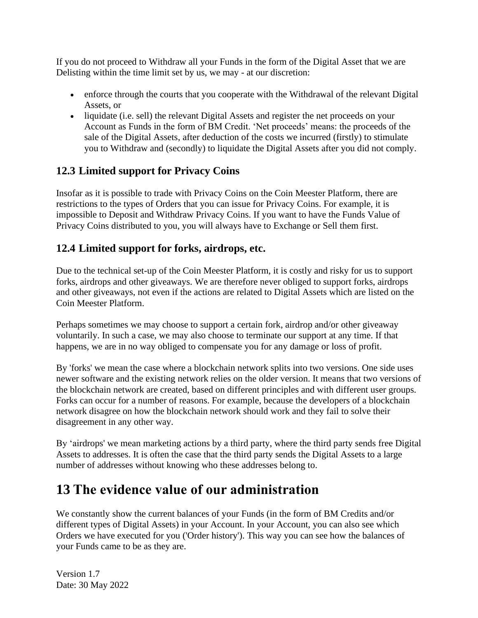If you do not proceed to Withdraw all your Funds in the form of the Digital Asset that we are Delisting within the time limit set by us, we may - at our discretion:

- enforce through the courts that you cooperate with the Withdrawal of the relevant Digital Assets, or
- liquidate (i.e. sell) the relevant Digital Assets and register the net proceeds on your Account as Funds in the form of BM Credit. 'Net proceeds' means: the proceeds of the sale of the Digital Assets, after deduction of the costs we incurred (firstly) to stimulate you to Withdraw and (secondly) to liquidate the Digital Assets after you did not comply.

#### <span id="page-26-0"></span>**12.3 Limited support for Privacy Coins**

Insofar as it is possible to trade with Privacy Coins on the Coin Meester Platform, there are restrictions to the types of Orders that you can issue for Privacy Coins. For example, it is impossible to Deposit and Withdraw Privacy Coins. If you want to have the Funds Value of Privacy Coins distributed to you, you will always have to Exchange or Sell them first.

#### <span id="page-26-1"></span>**12.4 Limited support for forks, airdrops, etc.**

Due to the technical set-up of the Coin Meester Platform, it is costly and risky for us to support forks, airdrops and other giveaways. We are therefore never obliged to support forks, airdrops and other giveaways, not even if the actions are related to Digital Assets which are listed on the Coin Meester Platform.

Perhaps sometimes we may choose to support a certain fork, airdrop and/or other giveaway voluntarily. In such a case, we may also choose to terminate our support at any time. If that happens, we are in no way obliged to compensate you for any damage or loss of profit.

By 'forks' we mean the case where a blockchain network splits into two versions. One side uses newer software and the existing network relies on the older version. It means that two versions of the blockchain network are created, based on different principles and with different user groups. Forks can occur for a number of reasons. For example, because the developers of a blockchain network disagree on how the blockchain network should work and they fail to solve their disagreement in any other way.

By 'airdrops' we mean marketing actions by a third party, where the third party sends free Digital Assets to addresses. It is often the case that the third party sends the Digital Assets to a large number of addresses without knowing who these addresses belong to.

### <span id="page-26-2"></span>**13 The evidence value of our administration**

We constantly show the current balances of your Funds (in the form of BM Credits and/or different types of Digital Assets) in your Account. In your Account, you can also see which Orders we have executed for you ('Order history'). This way you can see how the balances of your Funds came to be as they are.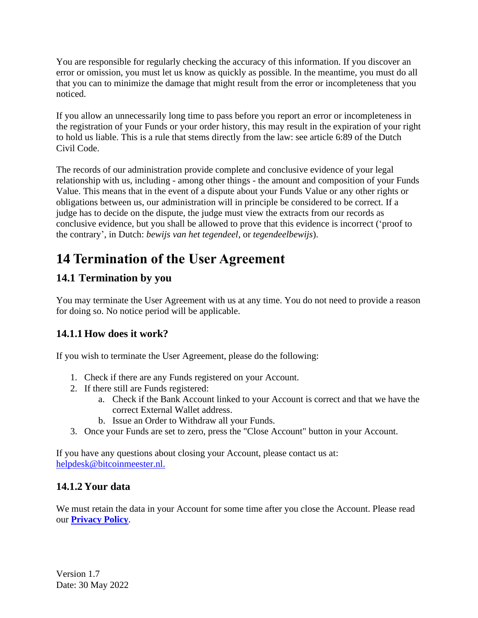You are responsible for regularly checking the accuracy of this information. If you discover an error or omission, you must let us know as quickly as possible. In the meantime, you must do all that you can to minimize the damage that might result from the error or incompleteness that you noticed.

If you allow an unnecessarily long time to pass before you report an error or incompleteness in the registration of your Funds or your order history, this may result in the expiration of your right to hold us liable. This is a rule that stems directly from the law: see article 6:89 of the Dutch Civil Code.

The records of our administration provide complete and conclusive evidence of your legal relationship with us, including - among other things - the amount and composition of your Funds Value. This means that in the event of a dispute about your Funds Value or any other rights or obligations between us, our administration will in principle be considered to be correct. If a judge has to decide on the dispute, the judge must view the extracts from our records as conclusive evidence, but you shall be allowed to prove that this evidence is incorrect ('proof to the contrary', in Dutch: *bewijs van het tegendeel*, or *tegendeelbewijs*).

## <span id="page-27-0"></span>**14 Termination of the User Agreement**

### <span id="page-27-1"></span>**14.1 Termination by you**

You may terminate the User Agreement with us at any time. You do not need to provide a reason for doing so. No notice period will be applicable.

#### **14.1.1 How does it work?**

If you wish to terminate the User Agreement, please do the following:

- 1. Check if there are any Funds registered on your Account.
- 2. If there still are Funds registered:
	- a. Check if the Bank Account linked to your Account is correct and that we have the correct External Wallet address.
	- b. Issue an Order to Withdraw all your Funds.
- 3. Once your Funds are set to zero, press the "Close Account" button in your Account.

If you have any questions about closing your Account, please contact us at: [helpdesk@bitcoinmeester.nl.](mailto:helpdesk@bitcoinmeester.nl.)

#### **14.1.2 Your data**

We must retain the data in your Account for some time after you close the Account. Please read our **[Privacy Policy](https://www.bitladon.com/privacy-policy)**.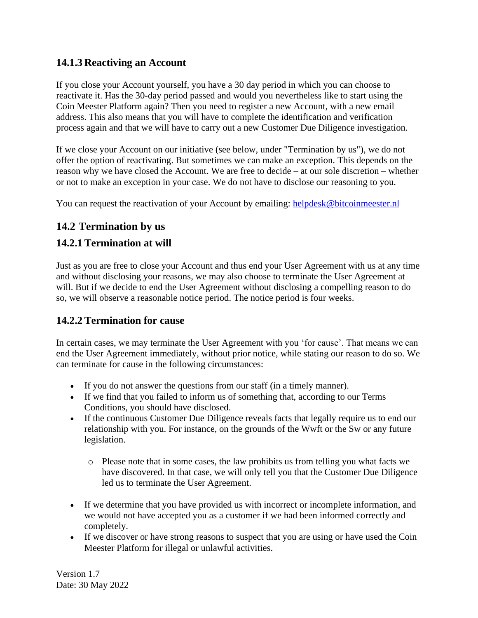#### **14.1.3 Reactiving an Account**

If you close your Account yourself, you have a 30 day period in which you can choose to reactivate it. Has the 30-day period passed and would you nevertheless like to start using the Coin Meester Platform again? Then you need to register a new Account, with a new email address. This also means that you will have to complete the identification and verification process again and that we will have to carry out a new Customer Due Diligence investigation.

If we close your Account on our initiative (see below, under "Termination by us"), we do not offer the option of reactivating. But sometimes we can make an exception. This depends on the reason why we have closed the Account. We are free to decide – at our sole discretion – whether or not to make an exception in your case. We do not have to disclose our reasoning to you.

You can request the reactivation of your Account by emailing: [helpdesk@bitcoinmeester.nl](mailto:helpdesk@bitcoinmeester.nl)

#### <span id="page-28-0"></span>**14.2 Termination by us**

#### **14.2.1 Termination at will**

Just as you are free to close your Account and thus end your User Agreement with us at any time and without disclosing your reasons, we may also choose to terminate the User Agreement at will. But if we decide to end the User Agreement without disclosing a compelling reason to do so, we will observe a reasonable notice period. The notice period is four weeks.

#### **14.2.2 Termination for cause**

In certain cases, we may terminate the User Agreement with you 'for cause'. That means we can end the User Agreement immediately, without prior notice, while stating our reason to do so. We can terminate for cause in the following circumstances:

- If you do not answer the questions from our staff (in a timely manner).
- If we find that you failed to inform us of something that, according to our Terms Conditions, you should have disclosed.
- If the continuous Customer Due Diligence reveals facts that legally require us to end our relationship with you. For instance, on the grounds of the Wwft or the Sw or any future legislation.
	- o Please note that in some cases, the law prohibits us from telling you what facts we have discovered. In that case, we will only tell you that the Customer Due Diligence led us to terminate the User Agreement.
- If we determine that you have provided us with incorrect or incomplete information, and we would not have accepted you as a customer if we had been informed correctly and completely.
- If we discover or have strong reasons to suspect that you are using or have used the Coin Meester Platform for illegal or unlawful activities.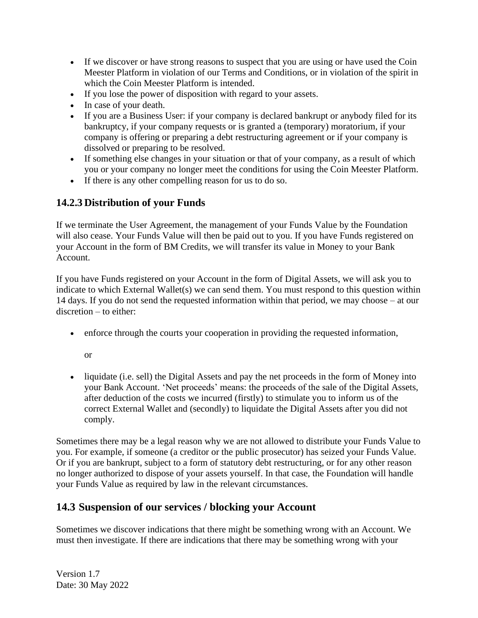- If we discover or have strong reasons to suspect that you are using or have used the Coin Meester Platform in violation of our Terms and Conditions, or in violation of the spirit in which the Coin Meester Platform is intended.
- If you lose the power of disposition with regard to your assets.
- In case of your death.
- If you are a Business User: if your company is declared bankrupt or anybody filed for its bankruptcy, if your company requests or is granted a (temporary) moratorium, if your company is offering or preparing a debt restructuring agreement or if your company is dissolved or preparing to be resolved.
- If something else changes in your situation or that of your company, as a result of which you or your company no longer meet the conditions for using the Coin Meester Platform.
- If there is any other compelling reason for us to do so.

#### **14.2.3 Distribution of your Funds**

If we terminate the User Agreement, the management of your Funds Value by the Foundation will also cease. Your Funds Value will then be paid out to you. If you have Funds registered on your Account in the form of BM Credits, we will transfer its value in Money to your Bank Account.

If you have Funds registered on your Account in the form of Digital Assets, we will ask you to indicate to which External Wallet(s) we can send them. You must respond to this question within 14 days. If you do not send the requested information within that period, we may choose – at our discretion – to either:

• enforce through the courts your cooperation in providing the requested information,

or

• liquidate (i.e. sell) the Digital Assets and pay the net proceeds in the form of Money into your Bank Account. 'Net proceeds' means: the proceeds of the sale of the Digital Assets, after deduction of the costs we incurred (firstly) to stimulate you to inform us of the correct External Wallet and (secondly) to liquidate the Digital Assets after you did not comply.

Sometimes there may be a legal reason why we are not allowed to distribute your Funds Value to you. For example, if someone (a creditor or the public prosecutor) has seized your Funds Value. Or if you are bankrupt, subject to a form of statutory debt restructuring, or for any other reason no longer authorized to dispose of your assets yourself. In that case, the Foundation will handle your Funds Value as required by law in the relevant circumstances.

#### <span id="page-29-0"></span>**14.3 Suspension of our services / blocking your Account**

Sometimes we discover indications that there might be something wrong with an Account. We must then investigate. If there are indications that there may be something wrong with your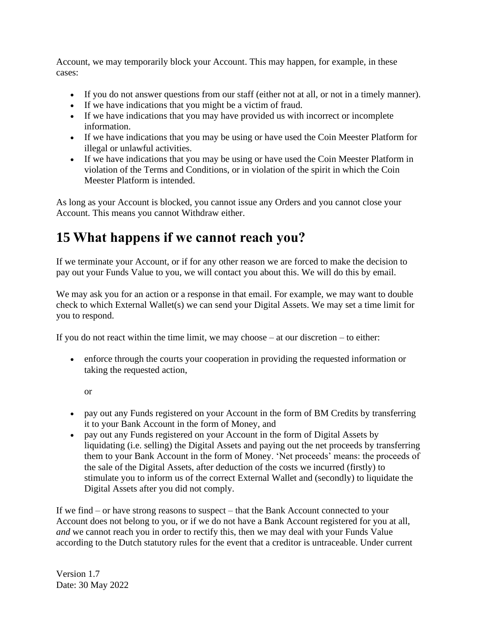Account, we may temporarily block your Account. This may happen, for example, in these cases:

- If you do not answer questions from our staff (either not at all, or not in a timely manner).
- If we have indications that you might be a victim of fraud.
- If we have indications that you may have provided us with incorrect or incomplete information.
- If we have indications that you may be using or have used the Coin Meester Platform for illegal or unlawful activities.
- If we have indications that you may be using or have used the Coin Meester Platform in violation of the Terms and Conditions, or in violation of the spirit in which the Coin Meester Platform is intended.

As long as your Account is blocked, you cannot issue any Orders and you cannot close your Account. This means you cannot Withdraw either.

### <span id="page-30-0"></span>**15 What happens if we cannot reach you?**

If we terminate your Account, or if for any other reason we are forced to make the decision to pay out your Funds Value to you, we will contact you about this. We will do this by email.

We may ask you for an action or a response in that email. For example, we may want to double check to which External Wallet(s) we can send your Digital Assets. We may set a time limit for you to respond.

If you do not react within the time limit, we may choose – at our discretion – to either:

• enforce through the courts your cooperation in providing the requested information or taking the requested action,

or

- pay out any Funds registered on your Account in the form of BM Credits by transferring it to your Bank Account in the form of Money, and
- pay out any Funds registered on your Account in the form of Digital Assets by liquidating (i.e. selling) the Digital Assets and paying out the net proceeds by transferring them to your Bank Account in the form of Money. 'Net proceeds' means: the proceeds of the sale of the Digital Assets, after deduction of the costs we incurred (firstly) to stimulate you to inform us of the correct External Wallet and (secondly) to liquidate the Digital Assets after you did not comply.

If we find – or have strong reasons to suspect – that the Bank Account connected to your Account does not belong to you, or if we do not have a Bank Account registered for you at all, *and* we cannot reach you in order to rectify this, then we may deal with your Funds Value according to the Dutch statutory rules for the event that a creditor is untraceable. Under current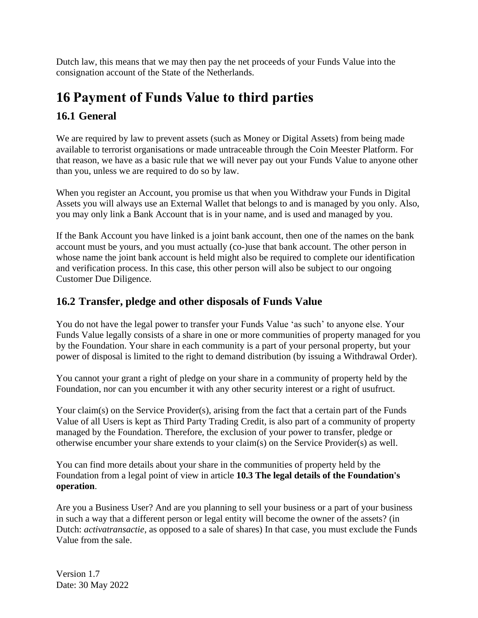Dutch law, this means that we may then pay the net proceeds of your Funds Value into the consignation account of the State of the Netherlands.

### <span id="page-31-0"></span>**16 Payment of Funds Value to third parties**

#### <span id="page-31-1"></span>**16.1 General**

We are required by law to prevent assets (such as Money or Digital Assets) from being made available to terrorist organisations or made untraceable through the Coin Meester Platform. For that reason, we have as a basic rule that we will never pay out your Funds Value to anyone other than you, unless we are required to do so by law.

When you register an Account, you promise us that when you Withdraw your Funds in Digital Assets you will always use an External Wallet that belongs to and is managed by you only. Also, you may only link a Bank Account that is in your name, and is used and managed by you.

If the Bank Account you have linked is a joint bank account, then one of the names on the bank account must be yours, and you must actually (co-)use that bank account. The other person in whose name the joint bank account is held might also be required to complete our identification and verification process. In this case, this other person will also be subject to our ongoing Customer Due Diligence.

#### <span id="page-31-2"></span>**16.2 Transfer, pledge and other disposals of Funds Value**

You do not have the legal power to transfer your Funds Value 'as such' to anyone else. Your Funds Value legally consists of a share in one or more communities of property managed for you by the Foundation. Your share in each community is a part of your personal property, but your power of disposal is limited to the right to demand distribution (by issuing a Withdrawal Order).

You cannot your grant a right of pledge on your share in a community of property held by the Foundation, nor can you encumber it with any other security interest or a right of usufruct.

Your claim(s) on the Service Provider(s), arising from the fact that a certain part of the Funds Value of all Users is kept as Third Party Trading Credit, is also part of a community of property managed by the Foundation. Therefore, the exclusion of your power to transfer, pledge or otherwise encumber your share extends to your claim(s) on the Service Provider(s) as well.

You can find more details about your share in the communities of property held by the Foundation from a legal point of view in article **10.3 [The legal details of the Foundation's](#page-20-0)  [operation](#page-20-0)**.

Are you a Business User? And are you planning to sell your business or a part of your business in such a way that a different person or legal entity will become the owner of the assets? (in Dutch: *activatransactie,* as opposed to a sale of shares) In that case, you must exclude the Funds Value from the sale.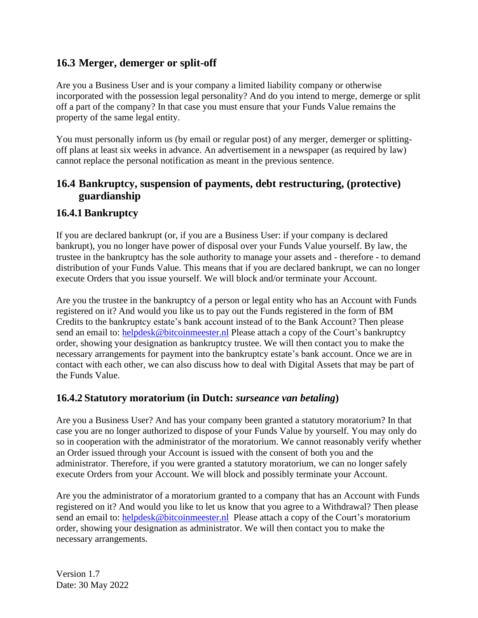#### <span id="page-32-0"></span>**16.3 Merger, demerger or split-off**

Are you a Business User and is your company a limited liability company or otherwise incorporated with the possession legal personality? And do you intend to merge, demerge or split off a part of the company? In that case you must ensure that your Funds Value remains the property of the same legal entity.

You must personally inform us (by email or regular post) of any merger, demerger or splittingoff plans at least six weeks in advance. An advertisement in a newspaper (as required by law) cannot replace the personal notification as meant in the previous sentence.

#### <span id="page-32-1"></span>**16.4 Bankruptcy, suspension of payments, debt restructuring, (protective) guardianship**

#### **16.4.1 Bankruptcy**

If you are declared bankrupt (or, if you are a Business User: if your company is declared bankrupt), you no longer have power of disposal over your Funds Value yourself. By law, the trustee in the bankruptcy has the sole authority to manage your assets and - therefore - to demand distribution of your Funds Value. This means that if you are declared bankrupt, we can no longer execute Orders that you issue yourself. We will block and/or terminate your Account.

Are you the trustee in the bankruptcy of a person or legal entity who has an Account with Funds registered on it? And would you like us to pay out the Funds registered in the form of BM Credits to the bankruptcy estate's bank account instead of to the Bank Account? Then please send an email to: [helpdesk@bitcoinmeester.nl](mailto:helpdesk@bitcoinmeester.nl) Please attach a copy of the Court's bankruptcy order, showing your designation as bankruptcy trustee. We will then contact you to make the necessary arrangements for payment into the bankruptcy estate's bank account. Once we are in contact with each other, we can also discuss how to deal with Digital Assets that may be part of the Funds Value.

#### **16.4.2 Statutory moratorium (in Dutch:** *surseance van betaling***)**

Are you a Business User? And has your company been granted a statutory moratorium? In that case you are no longer authorized to dispose of your Funds Value by yourself. You may only do so in cooperation with the administrator of the moratorium. We cannot reasonably verify whether an Order issued through your Account is issued with the consent of both you and the administrator. Therefore, if you were granted a statutory moratorium, we can no longer safely execute Orders from your Account. We will block and possibly terminate your Account.

Are you the administrator of a moratorium granted to a company that has an Account with Funds registered on it? And would you like to let us know that you agree to a Withdrawal? Then please send an email to: [helpdesk@bitcoinmeester.nl](mailto:helpdesk@bitcoinmeester.nl) Please attach a copy of the Court's moratorium order, showing your designation as administrator. We will then contact you to make the necessary arrangements.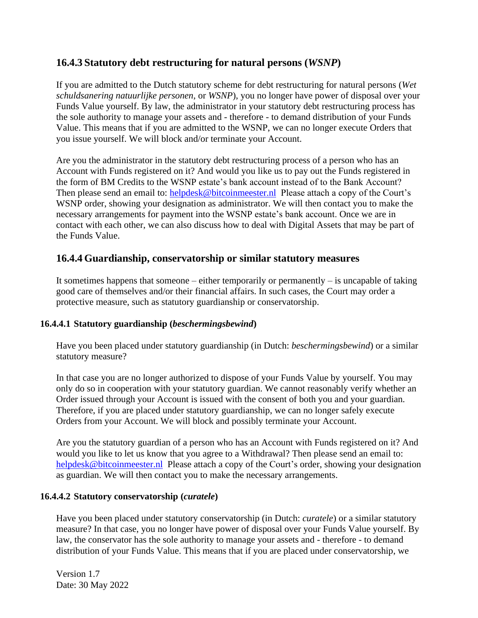#### **16.4.3 Statutory debt restructuring for natural persons (***WSNP***)**

If you are admitted to the Dutch statutory scheme for debt restructuring for natural persons (*Wet schuldsanering natuurlijke personen*, or *WSNP*), you no longer have power of disposal over your Funds Value yourself. By law, the administrator in your statutory debt restructuring process has the sole authority to manage your assets and - therefore - to demand distribution of your Funds Value. This means that if you are admitted to the WSNP, we can no longer execute Orders that you issue yourself. We will block and/or terminate your Account.

Are you the administrator in the statutory debt restructuring process of a person who has an Account with Funds registered on it? And would you like us to pay out the Funds registered in the form of BM Credits to the WSNP estate's bank account instead of to the Bank Account? Then please send an email to: [helpdesk@bitcoinmeester.nl](mailto:helpdesk@bitcoinmeester.nl) Please attach a copy of the Court's WSNP order, showing your designation as administrator. We will then contact you to make the necessary arrangements for payment into the WSNP estate's bank account. Once we are in contact with each other, we can also discuss how to deal with Digital Assets that may be part of the Funds Value.

#### **16.4.4 Guardianship, conservatorship or similar statutory measures**

It sometimes happens that someone – either temporarily or permanently – is uncapable of taking good care of themselves and/or their financial affairs. In such cases, the Court may order a protective measure, such as statutory guardianship or conservatorship.

#### **16.4.4.1 Statutory guardianship (***beschermingsbewind***)**

Have you been placed under statutory guardianship (in Dutch: *beschermingsbewind*) or a similar statutory measure?

In that case you are no longer authorized to dispose of your Funds Value by yourself. You may only do so in cooperation with your statutory guardian. We cannot reasonably verify whether an Order issued through your Account is issued with the consent of both you and your guardian. Therefore, if you are placed under statutory guardianship, we can no longer safely execute Orders from your Account. We will block and possibly terminate your Account.

Are you the statutory guardian of a person who has an Account with Funds registered on it? And would you like to let us know that you agree to a Withdrawal? Then please send an email to: [helpdesk@bitcoinmeester.nl](mailto:helpdesk@bitcoinmeester.nl) Please attach a copy of the Court's order, showing your designation as guardian. We will then contact you to make the necessary arrangements.

#### **16.4.4.2 Statutory conservatorship (***curatele***)**

Have you been placed under statutory conservatorship (in Dutch: *curatele*) or a similar statutory measure? In that case, you no longer have power of disposal over your Funds Value yourself. By law, the conservator has the sole authority to manage your assets and - therefore - to demand distribution of your Funds Value. This means that if you are placed under conservatorship, we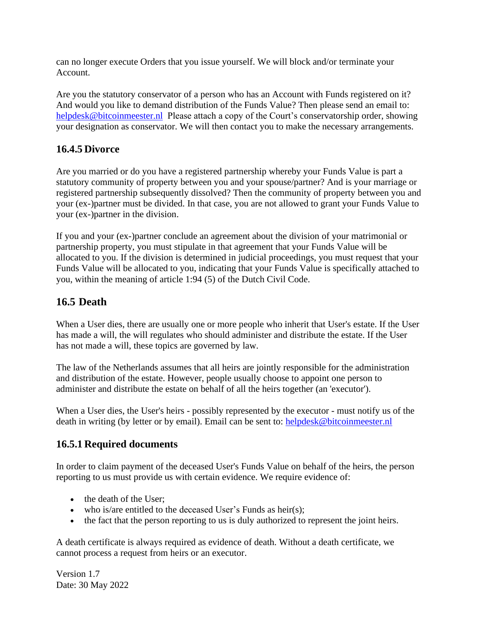can no longer execute Orders that you issue yourself. We will block and/or terminate your Account.

Are you the statutory conservator of a person who has an Account with Funds registered on it? And would you like to demand distribution of the Funds Value? Then please send an email to: [helpdesk@bitcoinmeester.nl](mailto:helpdesk@bitcoinmeester.nl) Please attach a copy of the Court's conservatorship order, showing your designation as conservator. We will then contact you to make the necessary arrangements.

#### **16.4.5 Divorce**

Are you married or do you have a registered partnership whereby your Funds Value is part a statutory community of property between you and your spouse/partner? And is your marriage or registered partnership subsequently dissolved? Then the community of property between you and your (ex-)partner must be divided. In that case, you are not allowed to grant your Funds Value to your (ex-)partner in the division.

If you and your (ex-)partner conclude an agreement about the division of your matrimonial or partnership property, you must stipulate in that agreement that your Funds Value will be allocated to you. If the division is determined in judicial proceedings, you must request that your Funds Value will be allocated to you, indicating that your Funds Value is specifically attached to you, within the meaning of article 1:94 (5) of the Dutch Civil Code.

#### <span id="page-34-0"></span>**16.5 Death**

When a User dies, there are usually one or more people who inherit that User's estate. If the User has made a will, the will regulates who should administer and distribute the estate. If the User has not made a will, these topics are governed by law.

The law of the Netherlands assumes that all heirs are jointly responsible for the administration and distribution of the estate. However, people usually choose to appoint one person to administer and distribute the estate on behalf of all the heirs together (an 'executor').

When a User dies, the User's heirs - possibly represented by the executor - must notify us of the death in writing (by letter or by email). Email can be sent to: [helpdesk@bitcoinmeester.nl](mailto:helpdesk@bitcoinmeester.nl)

#### **16.5.1 Required documents**

In order to claim payment of the deceased User's Funds Value on behalf of the heirs, the person reporting to us must provide us with certain evidence. We require evidence of:

- the death of the User;
- who is/are entitled to the deceased User's Funds as heir(s);
- the fact that the person reporting to us is duly authorized to represent the joint heirs.

A death certificate is always required as evidence of death. Without a death certificate, we cannot process a request from heirs or an executor.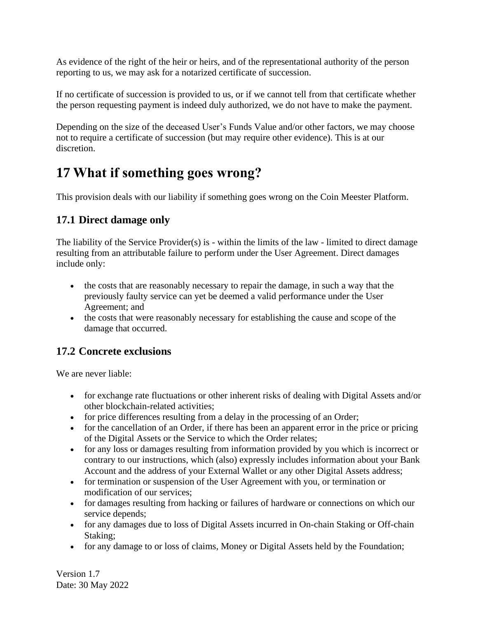As evidence of the right of the heir or heirs, and of the representational authority of the person reporting to us, we may ask for a notarized certificate of succession.

If no certificate of succession is provided to us, or if we cannot tell from that certificate whether the person requesting payment is indeed duly authorized, we do not have to make the payment.

Depending on the size of the deceased User's Funds Value and/or other factors, we may choose not to require a certificate of succession (but may require other evidence). This is at our discretion.

## <span id="page-35-0"></span>**17 What if something goes wrong?**

This provision deals with our liability if something goes wrong on the Coin Meester Platform.

### <span id="page-35-1"></span>**17.1 Direct damage only**

The liability of the Service Provider(s) is - within the limits of the law - limited to direct damage resulting from an attributable failure to perform under the User Agreement. Direct damages include only:

- the costs that are reasonably necessary to repair the damage, in such a way that the previously faulty service can yet be deemed a valid performance under the User Agreement; and
- the costs that were reasonably necessary for establishing the cause and scope of the damage that occurred.

### <span id="page-35-2"></span>**17.2 Concrete exclusions**

We are never liable:

- for exchange rate fluctuations or other inherent risks of dealing with Digital Assets and/or other blockchain-related activities;
- for price differences resulting from a delay in the processing of an Order;
- for the cancellation of an Order, if there has been an apparent error in the price or pricing of the Digital Assets or the Service to which the Order relates;
- for any loss or damages resulting from information provided by you which is incorrect or contrary to our instructions, which (also) expressly includes information about your Bank Account and the address of your External Wallet or any other Digital Assets address;
- for termination or suspension of the User Agreement with you, or termination or modification of our services;
- for damages resulting from hacking or failures of hardware or connections on which our service depends;
- for any damages due to loss of Digital Assets incurred in On-chain Staking or Off-chain Staking;
- for any damage to or loss of claims, Money or Digital Assets held by the Foundation;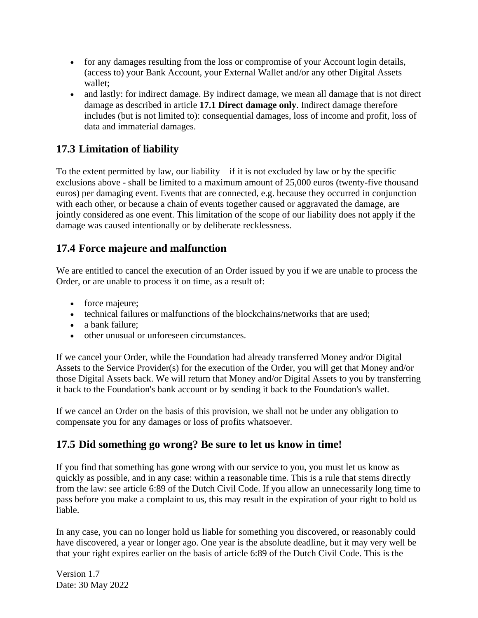- for any damages resulting from the loss or compromise of your Account login details, (access to) your Bank Account, your External Wallet and/or any other Digital Assets wallet;
- and lastly: for indirect damage. By indirect damage, we mean all damage that is not direct damage as described in article **17.1 [Direct damage](#page-35-1) only**. Indirect damage therefore includes (but is not limited to): consequential damages, loss of income and profit, loss of data and immaterial damages.

#### <span id="page-36-0"></span>**17.3 Limitation of liability**

To the extent permitted by law, our liability  $-$  if it is not excluded by law or by the specific exclusions above - shall be limited to a maximum amount of 25,000 euros (twenty-five thousand euros) per damaging event. Events that are connected, e.g. because they occurred in conjunction with each other, or because a chain of events together caused or aggravated the damage, are jointly considered as one event. This limitation of the scope of our liability does not apply if the damage was caused intentionally or by deliberate recklessness.

#### <span id="page-36-1"></span>**17.4 Force majeure and malfunction**

We are entitled to cancel the execution of an Order issued by you if we are unable to process the Order, or are unable to process it on time, as a result of:

- force majeure;
- technical failures or malfunctions of the blockchains/networks that are used;
- a bank failure:
- other unusual or unforeseen circumstances.

If we cancel your Order, while the Foundation had already transferred Money and/or Digital Assets to the Service Provider(s) for the execution of the Order, you will get that Money and/or those Digital Assets back. We will return that Money and/or Digital Assets to you by transferring it back to the Foundation's bank account or by sending it back to the Foundation's wallet.

If we cancel an Order on the basis of this provision, we shall not be under any obligation to compensate you for any damages or loss of profits whatsoever.

#### <span id="page-36-2"></span>**17.5 Did something go wrong? Be sure to let us know in time!**

If you find that something has gone wrong with our service to you, you must let us know as quickly as possible, and in any case: within a reasonable time. This is a rule that stems directly from the law: see article 6:89 of the Dutch Civil Code. If you allow an unnecessarily long time to pass before you make a complaint to us, this may result in the expiration of your right to hold us liable.

In any case, you can no longer hold us liable for something you discovered, or reasonably could have discovered, a year or longer ago. One year is the absolute deadline, but it may very well be that your right expires earlier on the basis of article 6:89 of the Dutch Civil Code. This is the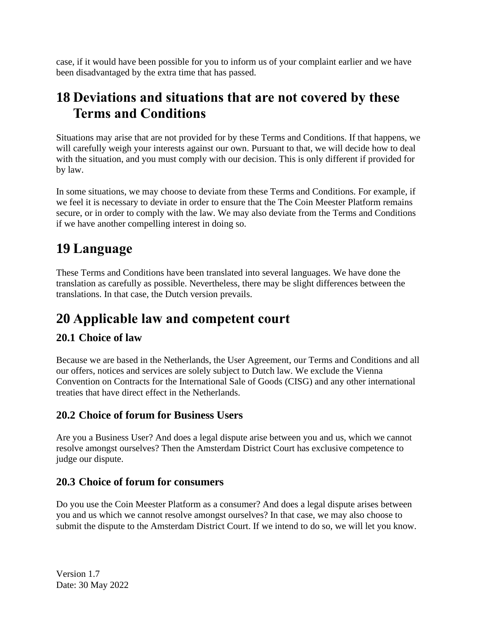case, if it would have been possible for you to inform us of your complaint earlier and we have been disadvantaged by the extra time that has passed.

### <span id="page-37-0"></span>**18 Deviations and situations that are not covered by these Terms and Conditions**

Situations may arise that are not provided for by these Terms and Conditions. If that happens, we will carefully weigh your interests against our own. Pursuant to that, we will decide how to deal with the situation, and you must comply with our decision. This is only different if provided for by law.

In some situations, we may choose to deviate from these Terms and Conditions. For example, if we feel it is necessary to deviate in order to ensure that the The Coin Meester Platform remains secure, or in order to comply with the law. We may also deviate from the Terms and Conditions if we have another compelling interest in doing so.

# <span id="page-37-1"></span>**19 Language**

These Terms and Conditions have been translated into several languages. We have done the translation as carefully as possible. Nevertheless, there may be slight differences between the translations. In that case, the Dutch version prevails.

# <span id="page-37-2"></span>**20 Applicable law and competent court**

### <span id="page-37-3"></span>**20.1 Choice of law**

Because we are based in the Netherlands, the User Agreement, our Terms and Conditions and all our offers, notices and services are solely subject to Dutch law. We exclude the Vienna Convention on Contracts for the International Sale of Goods (CISG) and any other international treaties that have direct effect in the Netherlands.

#### <span id="page-37-4"></span>**20.2 Choice of forum for Business Users**

Are you a Business User? And does a legal dispute arise between you and us, which we cannot resolve amongst ourselves? Then the Amsterdam District Court has exclusive competence to judge our dispute.

#### <span id="page-37-5"></span>**20.3 Choice of forum for consumers**

Do you use the Coin Meester Platform as a consumer? And does a legal dispute arises between you and us which we cannot resolve amongst ourselves? In that case, we may also choose to submit the dispute to the Amsterdam District Court. If we intend to do so, we will let you know.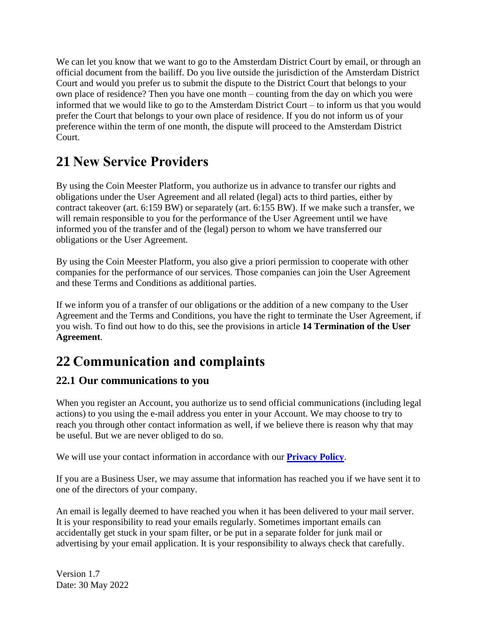We can let you know that we want to go to the Amsterdam District Court by email, or through an official document from the bailiff. Do you live outside the jurisdiction of the Amsterdam District Court and would you prefer us to submit the dispute to the District Court that belongs to your own place of residence? Then you have one month – counting from the day on which you were informed that we would like to go to the Amsterdam District Court – to inform us that you would prefer the Court that belongs to your own place of residence. If you do not inform us of your preference within the term of one month, the dispute will proceed to the Amsterdam District Court.

# <span id="page-38-0"></span>**21 New Service Providers**

By using the Coin Meester Platform, you authorize us in advance to transfer our rights and obligations under the User Agreement and all related (legal) acts to third parties, either by contract takeover (art. 6:159 BW) or separately (art. 6:155 BW). If we make such a transfer, we will remain responsible to you for the performance of the User Agreement until we have informed you of the transfer and of the (legal) person to whom we have transferred our obligations or the User Agreement.

By using the Coin Meester Platform, you also give a priori permission to cooperate with other companies for the performance of our services. Those companies can join the User Agreement and these Terms and Conditions as additional parties.

If we inform you of a transfer of our obligations or the addition of a new company to the User Agreement and the Terms and Conditions, you have the right to terminate the User Agreement, if you wish. To find out how to do this, see the provisions in article **14 Termination of the User Agreement**.

# <span id="page-38-1"></span>**22 Communication and complaints**

### <span id="page-38-2"></span>**22.1 Our communications to you**

When you register an Account, you authorize us to send official communications (including legal actions) to you using the e-mail address you enter in your Account. We may choose to try to reach you through other contact information as well, if we believe there is reason why that may be useful. But we are never obliged to do so.

We will use your contact information in accordance with our **Privacy Policy**.

If you are a Business User, we may assume that information has reached you if we have sent it to one of the directors of your company.

An email is legally deemed to have reached you when it has been delivered to your mail server. It is your responsibility to read your emails regularly. Sometimes important emails can accidentally get stuck in your spam filter, or be put in a separate folder for junk mail or advertising by your email application. It is your responsibility to always check that carefully.